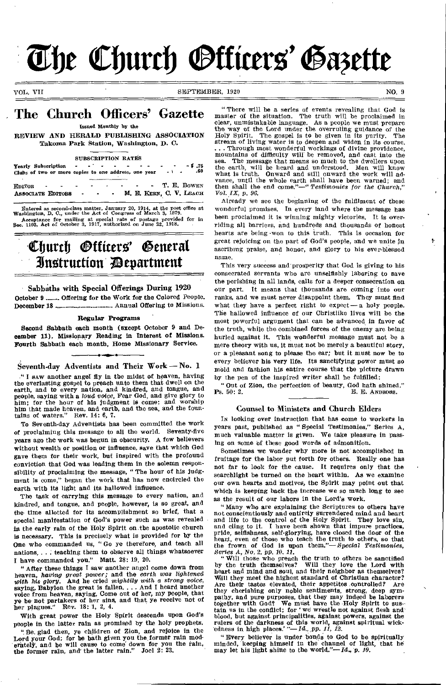# **The Church Officers' Gazette**

VOL. VII SEPTEMBER, 1920 NO. 9

Ŷ.

# The Church Officers' Gazette Issued Monthly by the

REVIEW AND HERALD PUBLISHING ASSOCIATION Takoma Park Station, Washington, D. C.

#### SUBSCRIPTION RATES

| SUDSUBILIUN BAILS                                                        |  |  |  |  |  |  |
|--------------------------------------------------------------------------|--|--|--|--|--|--|
| Clubs of two or more copies to one address, one year $\cdot$ $\cdot$ .60 |  |  |  |  |  |  |
|                                                                          |  |  |  |  |  |  |
| EDITOR T. E. BOWEN                                                       |  |  |  |  |  |  |
| ASSOCIATE EDITOBS - - - M. E. KERN. C. V. LEACH                          |  |  |  |  |  |  |

Entered as second-class matter, January 20, 1914, at the post office at Washington, D. C., under the Act of Congress of March 3, 1879. Acceptance for mailing at special rate of postage provided for in Sec. 1103, Act of October 8, 1917, authorized on June 22, 1918.

# Church *Otticers*' General iftuitruction ;Department

Sabbaths with Special Offerings During 1920 October 9 ........ Offering for the Work for the Colored People. December 18 Annual Offering to Missions.

#### Regular Programs

Second Sabbath each month (except October 9 and December 11), Missionary Reading in Interest of Missions. Fourth Sabbath each month, Home Missionary Service.

# Seventh-day Adventists and Their Work — No. 1

" I SAW another angel' fly in the midst of heaven, having the everlasting gospel to preach unto them that dwell on the earth, and to every nation, and kindred, and tongue, and people, saying with a *loud voice,* Fear God, and give glory to him; for the hour of his judgment is come: and worship him that made heaven, and earth, and the sea, and the foun-tains of waters." Rev. 14: 6, 7.

To Seventh-day Adventists has been committed the work of proclaiming this message to all the world. Seventy-five years ago the work was begun in obscurity. A few believers without wealth or position or influence, save that which God gave them for their work, but inspired with the profound conviction that God was leading them in the solemn responsibility of proclaiming the message, "The hour of his judgment is come," began the work that has now encircled the earth with its light and its hallowed influence.

The task of carrying this message to every nation, and kindred, and tongue, and people, however, is so great, and the- time allotted for its accomplishment so brief, that a special manifestation of god's power such as was revealed in the early rain of the Holy Spirit on the apostolic church is necessary. This is precisely what is provided for by the One who commanded us, " Go ye therefore, and teach all nations, . . . teaching them to observe all things whatsoever I have commanded you." Matt. 28: 19, 20.

" After these things I saw another angel come down from heaven, *having* great *power;* and the *earth was lightened With his glory.* And he cried *mightily with a strong voice,*  with his glory. And he cried mightily with a strong voice, saying, Babylon the great is fallen.... And I heard another voice from heaven, saying, Come out of her, my people, that ye be not partakers of her sins, and that ye receive not of her plagues." Rev. 18: 1, 2, 4.

With great power the Holy Spirit descends upon God's people in the latter rain as promised by the holy prophets.

" Be, glad then, ye children of Zion, and rejoice in the Lord your God: for he bath given you the, former rain moderately, and he will cause to come down for you the rain, the former rain, and the latter rain." Joel 2: 23.

"There will be a series of events revealing that God is master of the situation. The truth will be proclaimed in clear, unmistakable language. As a people we must prepare<br>the way of the Lord under the overruling guidance of the<br>Holy Spirit. The gospel is to be given in its purity. The<br>stream of living water is to deepen and widen in ... Through most wonderful workings of divine providence, mountains of difficulty will be removed, and cast into the sea. The message that means so much to the dwellers upon the earth, will be heard and understood. Men will know what is truth. Onward and still onward the work will advance, until the whole earth shall have been warned; and then shall the end come."—" *Testimonies for the Church," Vol. IX, p. 96.* 

Already we see the beginning of the fulfilment of these wonderful promises. In every land where the message has been proclaimed it is winning mighty victories. It is overriding all barriers, and hundreds and thousands of honest hearts are being won to this truth. This is occasion for great rejoicing on the part of God's people, and we unite in ascribing praise, and honor, and glory to his ever-blessed name.

This very success and prosperity that God is giving to his consecrated servants who are unselfishly laboring to save the perishing in all lands, calls for a deeper consecration on our part. It means that thousands are coming into our ranks, and we must never disappoint them. They must find what they have a perfect right to expect — a holy people. The hallowed influence of our Christlike lives will be the most powerful argument that can be advanced in favor of the truth, while the combined forces of the enemy are being hurled against it. This wonderful message must not be a mere theory with us, it must not be merely a beautiful story, or a pleasant song to please the ear; but it must now be to every believer his very life. Its sanctifying power must so mold and fashion his entire course that the picture drawn by the pen of the inspired writer shall he fulfilled:

" Out of Zion, the perfection of beauty, God hath shined." Ps. 50: 2. E. E. ANDROSS,

#### Counsel to Ministers and Church Elders

IN looking over instruction that has come to workers in years past, published as " Special Testimonies," Series A, much valuable matter is given. We take pleasure in passing on some of *these* good words of admonition.

Sometimes we wonder why more is not accomplished in fruitage for the labor put forth for others. Really one has not far to look for the cause. It requires only that the searchlight be turned on the heart within. As we examine our own hearts and motives, the Spirit may point out that which is keeping back the increase we so much long to see as the result of our labors in the Lord's work.

" Many who are explaining the Scriptures to others have not conscientiously and entirely surrendered mind and heart and life to the control of the Holy Spirit. They love sin, and cling to it. I have been shown that impure practices. pride, selfishness, self-glorying, have closed the door of the heart, even of those who teach the truth to others, so that

the frown of God is upon them."— *Special Testimonies, Series A, No. 2, pp. 10, 11.*<br>
"Will those who preach the truth to others be sanctified by the truth themselves? Will they love the Lord with heart and mind and soul, and their neighbor as themselves? Will they meet the highest standard of Christian character?<br>Are their tastes elevated, their appetites controlled? Are Are their tastes elevated, their appetites controlled? they cherishing only noble sentiments, strong, deep sympathy, and pure purposes, that they may indeed be laborers together with God? We must have the -Holy Spirit to sustain us in the conflict; for ' we wrestle not against flesh and blood, but against principalities, against powers, against the rulers of the darkness of this world, against spiritual wickedness in high places.' *"—Id., pp. 11, 12.* 

" Every believer is under bonds to God to be spiritually minded, keeping himself in the channel of light, that he may let his light shine to the world."— *Id.,* p. *10.*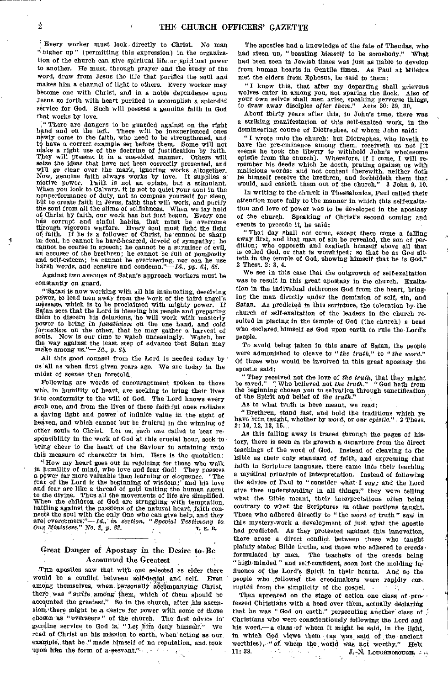Every worker must look, directly to Christ. No man "higher up" (permitting this expression) in the organization of the church can give spiritual life or spiritual power to another. He must, through prayer and the study of the Word, draw from Jesus the life that purifies the soul and makes him a channel of light to others. Every worker may become one with Christ, and in a noble dependence upon Jesus go forth with heart purified to accomplish a splendid service for God. Such will possess a genuine faith in God that works by love.

." There are dangers to be guarded against on the right hand and on the left. There will be inexperienced ones newly come to the faith, who need to be strengthened, and to have a correct example set before them. Some will not make a right use of the doctrine of justification by faith. They will present it in a one-sided manner. Others will seize the ideas that have not been correctly presented, and will go clear over the mark, ignoring works altogether. Now, genuine faith always works by love. It supplies a' motive power. Faith is not an opiate, but a stimulant. When you look to Calvary, it is not to quiet your soul in the nonperformance of duty, not to compose yourself for sleep, but to create faith in Jesus, faith that will work, and purify the soul from all the slime of selfishness. When we lay hold o\$ Christ by faith, our work has but just begun. Every one has corrupt and sinful habits, that must be overcome through vigorous warfare. Every soul must fight the fight of faith. If he is a follower of Christ, he 'cannot be sharp in deal, he cannot be hard-hearted, devoid of sympathy; he cannot be coarse in speech; he cannot be a surmiser of evil, an accuser of the brethren; he cannot be full of pomposity and self-esteem; he cannot be overbearing, nor can he use harsh words, and censure and condemn"— Id., pp. *64, 65.* 

Against two avenues of Satan's approach workers must be constantly on guard.

"'Satan is now working with all his insinuating, deceiving power, to lead men away from the work of the third angel's message, which is to be proclaimed with mighty power. If message, which is to be proclaimed with mighty power. Satan sees that the Lord is blessing his people and preparing them to discern his delusions, he will work with masterly power to bring in *fanaticism* on the one hand, and *cold formalism* on the other, that he may gather a harvest of souls. Now is our time to watch unceasingly. Watch, bar the way against the least step of advance that Satan may make among us."—Id, *P. 64.* 

All this good counsel from the Lord is needed today by us all as when first given years ago. We are today in the midst of scenes then foretold.

Following are words of encouragement spoken to those who, in humility of heart, are seeking to bring their lives into conformity to the will of God. The Lord knows every such one, and from the lives of these faithful ones radiates a saving light and power of infinite value in the sight of heaven, and which cannot but be fruitful in the winning of other souls to Christ. Let us, each one called to bear responsibility in the work of God at this crucial hour, seek to bring cheer to the heart of the Saviour in attaining unto this measure of character in him. Here is the quotation:

':How my heart goes out in rejoicing for those who walk in humility of mind, who love and fear God! They possess a power far more valuable than learning or eloquence. The a power far more valuable than learning or eloquence. 'The fear of the Lord is the beginning of wisdom;' and his love and fear are like a thread of gold uniting the human agent to the divine. Thus all the movements of life are simplified. When the children of God are Struggling with temptation, battling against the passions of the natural heart, faith con-nects the soul with the only One who can give help, and they are: overcomers."—  $Id$ ., in section, "Special Testimony to Our Ministers," No. 2, p. 82. *Our. Ministers," No. 2, p. 82.* 

# Great Danger of Apostasy in the Desire to.Be Accounted the Greatest

THE apostles saw that with one selected as elder there would be a conflict between self-denial and self. Even among themselves, when personally accompanying Christ, there was "strife among them, which of them should be accounted the greatest." So in the church, after his ascension, there might be a desire for power with some of those chosen as "overseers" of the church. The first advice in' genuine service to God is, "Let him deny himself." We read of Christ on his mission to earth, when' acting as our example, that he ." made himself of no reputation, and took upon him the form of a servant.",  $\cdots$ ,  $\cdots$ 

The apostles had a knowledge of the fate of Theudas, who had risen up, "boasting *himself* to be somebody." What had been seen in Jewish times was Just as liable to develop from human hearts in Gentile times. As Paul at Miletus met the elders from Ephesus, he `said to them:

" I know this, that after my departing shall grievous wolves enter in among you, not sparing the flock. Also of your own selves shall men arise, speaking perverse things, to draw away disciples *after them."* Acts 20: 29, 30.

About thirty years after this, in John's time, there was a striking manifestation of this self-exalted work, in the domineering course of Diotrephes, of whom John said:

" I wrote unto the church: but Diotrephes, who loveth to have the pre-eminence among them, receiveth us not [it seems he took the liberty to withhold John's wholesome epistle from the church]. Wherefore, if I come, I will remember his deeds which he doeth, prating against us with malicious words: and not content therewith, neither doth he himself receive the brethren, and forbiddeth them that would,, and casteth them out of the church." 3 John 9, 10.

In writing, to the church in Thessalonica, Paul called their attention more fully to the manner in which this self-exaltation and love of power was to be developed in the apostasy of the church. Speaking of Christ's second coming and events to precede it, he said:

"That day shall not come, except there come a falling away first, and that man of sin be revealed, the son of perdition; who opposeth and exalteth himself above all that is called God, or that is worshiped; so that he as God sitteth in the temple of God, showing himself that he is God." 2 These. 2: 3, 4.

We see in this case that the outgrowth of self-exaltation was to result in this great apostasy in the church. Exaltation in the individual dethrones God from the heart, bringing the man directly under the dominion of self, sin, and Satan. As predicted in this scripture, the toleration by the church of self-exaltation of the leaders in the church resulted in placing in the temple' of God (the church) a head who declared. himself as God upon earth to rule the Lord's people.

To avoid being taken in this snare of Satan, the people were admonished to cleave to *"the truth,"* to *"the* word." Of those who would be involved in this great apostasy the apostle said:

"They received not the love of *the truth,* that they might be saved." "Who believed not *the truth." "* God hath from the beginning chosen you to salvation through sanctification of the Spirit and belief of *the truth."* 

As' to what truth is here meant, we read:

" Brethren, stand fast, and hold the traditions which ye have been taught, whether by word, or *our epistle.",* 2 Thess. 2: 10, 12, 13, 15..

As this falling away is traced through the pages of history, there is seen in its growth a departure from the direct teachings of the word of God. Instead of cleaving to the Bible as their only standard of faith, and expressing that faith in Scripture language, there came into their teaching a mystical principle of interpretation. Instead of following the advice of Paul to "consider what I *say;* and the Lord give thee understanding in all things;" they were telling what the Bible meant, their interpretations often being contrary to what the Scriptures in other portions taught. Those who adhered directly to "the word of truth" saw in this mystery-work a development of just what the apostle had predicted, As they protested against this innovation, there arose a direct conflict between those who taught plainly stated Bible truths, and those who adhered to creeds. formulated by men. The teachers of the creeds being " high-minded " and self-confident, soon lost the molding influence of the Lord's Spirit in their hearts, And so the people who followed the creedmakers were rapidly corrupted from the simplicity of the gospel. i de

Then appeared on the stage of action one class of professed Christians with a head over them, actually declaring that he was "God on earth," persecuting another class of Christians who were conscientiously following the Lord and his word,— a class of whom it might be said, in the light, in which God views them (as was said of the ancient worthies),,-" of whom the world was not worthy." Heb:<br>  $J_{\cdot}$ -N. Louensekouen. J: N. LOUGHBOROUGH,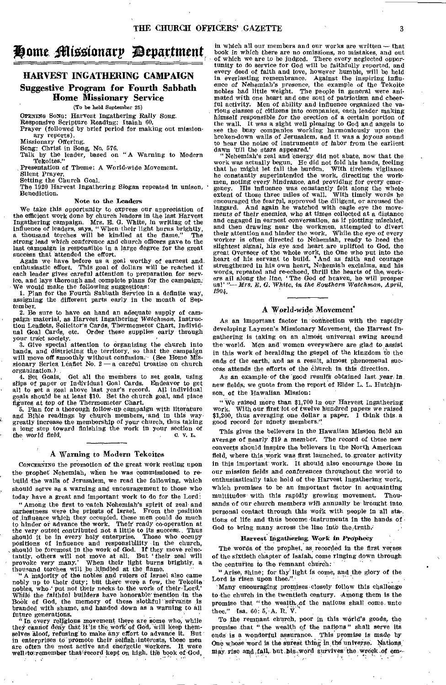# Home Missionary Department,

# **HARVEST INGATHERING CAMPAIGN**

# **Suggestive Program for Fourth Sabbath Home Missionary Service**

(To be held September 26)

OPENING SONG: Harvest Ingathering Rally Song.

Responsive Scripture Reading: Isaiah 60. Prayer (followed by brief period for making out mission-

ary reports).

Missionary Offering. Song: Christ in Song, No. 576. Talk by the leader, based on "A Warning to Modern Tekoites."

Presentation of Theme: A World-wide Movement.

Silent Prayer.

Setting the Church Goal.

The 1920 Harvest Ingathering Slogan repeated in unison, Benediction.

#### Note to the Leaders

We take this opportunity to express our appreciation of the efficient work done by church leaders in the last Harvest<br>Ingathering campaign. Mrs. E. G. White, in writing of the<br>influence of leaders, says, "When their light burns brightly,<br>a thousand torches will be kindled at th strong lead which conference and church officers gave to the last campaign is responsible in a large degree for the great success that 'attended the effort.

Again we have before us a goal worthy of earnest and. enthusiastic effort. This goal of dollars will be reached if each leader gives *careful* attention to preparation for service, and lays thorough and complete plans for the campaign;

We would make the following suggestions:<br>
1. Plan for the Fourth Sabbath Service in a definite way,<br>
assigning the different parts early in the month of September.

2. Be sure to have on hand an adequate supply of campaign material, as Harvest Ingathering Watchman, Instruction Leaflets, Solicitor's Cards, Thermometer Chart, Individ-ual Goal Cards, etc. Order these supplies early through your tract society.

3. Give special attention to organizing the church into bands, and districting the territory, so that the campaign will move off smoothly without confusion. (See Home Missionary Series, Leaflet No.  $2 - a$  careful treatise on church organization.)

4. Set Goals. Get all the members to set goals, using slips of paper or Individual Goal Cards. Endeavor to get all to set a goal above last year's record. All individual goals should be at least \$10. Set the church goal, and place figures at top of the Thermometer Chart.

5. Plan for a thorough follow-up campaign with literature and Bible readings by church members, and in this way greatly increase the membership of your church, thus taking a long step toward finishing the work in your section of the world field.

#### A Warning to Modern Tekoites

CoNCERNING the promotion of the great work resting upon the- prophet Nehemiah, when he was commissioned to rebuild the walls of Jerusalem, we read the following, which should serve as a warning and encouragement to those who today have a great and important work to do for the Lord;

" Among the first to catch Nehemiah's spirit of zeal. and earnestness were the priests of Israel. From the position of influence which they occupied, these men could do much to hinder or advance the work. Their ready co-operation at the very outset contributed not a little to its success. Thus should it be in every holy enterprise. Those who occupy positions of influence and responsibility in the church, should be foremost in the work of God. If they move reluc-tantly, others will not move at all. But ' their zeal will provoke very many.' When their light burns brightly, a thousand torches, will be .kindled at the flame.

'" A Majority of the nobles and rulers of Israel also came nobly up to their duty; but there were a few, the Tekoite nobles, who 'put not their necks to the work of their-Lord,' While the faithful builders have honorable mention in the Book of God, the memory of these slothful ser branded with shame, and handed down as a warning to all future generations.

" In every religious movement there are some who, while thet cannot deify that it the WOrk'of God, 'Will keep them-selves aloof, refusingito make any effort to advance it. But in enterprises to promote their selfish interests, these men are often the most active and energetic workers. It were well to remember that record-kept on high, the book of God,

in which all our members and our works are written—that book in which there are no omissions, no mistakes, and out of which we are to be judged. There every neglected oppor-tunity to do service for God will be faithfully reported, and every deed of faith and love, however humble, will be held in everlasting remembrance. Against the inspiring influence *of* Nehemiah's presence, the example of the Tekoite nobles had little weight. The people in general were animated with one heart and one soul of patriotism and cheerful activity. Men of ability and influence organized the various classes of citizens into companies, each leader making himself responsible *for* the erection of a certain portion of the wall. It was a sight well pleasing to God and angels to see the busy companies working harmoniously upon the broken-down walls of Jerusalem, and it was a joyous sound to hear the noise of instruments of labor from the earliest dawn 'till the *stars* appeared.'

"Nehemiah's zeal and energy did not abate, now that the work was actually begun. He did not fold his hands, feeling that he might let fall the burden. he constantly superintended the work, directing the work-men, noting every hindrance, and providing for every emergency. His influence was constantly felt along the whole extent of those three miles of wall. With timely words he encouraged the fearful, approved the diligent, or aroused the laggard. And again he watched with eagle eye the move-ments of their enemies, who at times collected at a distance and engaged in earnest conversation, as if plotting mischief, and then drawing near the workmen, attempted to divert their attention and hinder the work. While the eye of every worker is often directed to Nehemiah, ready to heed the slightest *signal, his* eye and heart are uplifted to God, the great Overseer of the whole work, the One who put into the heart of his servant to build. "And as faith and courage strengthened in his own heart, Nehemiah exclaims, and his verofs, repeated and re-echoed, thrill the heart *1904.* 

# A World-wide Movement

As an important factor in connection with the rapidly developing Laymen's Missionary Movement, the Harvest Ingathering is taking on an almost universal swing around the- world. Men and' women everyWhere are *glad to* assist in this work of heralding the gospel of the kingdom to the ends of the earth; and as a result, almost phenomenal success attends the efforts of the Church in this direction.

As an example of the good result's obtained last year, in new fields; we quote from the report of Elder L. L. Hutchinson, of the Hawaiian Mission:

"We raised more than  $$1,700$  in our Harvest Ingathering work. With our first lot of twelve hundred papers we raised With our first lot of twelve hundred papers we raised thus averaging one dollar a paper. I think this a \$1,200, thus averaging one dollar a paper. I think this, a good record for ninety members."

This gives the believers in the Hawaiian Mission field an average of nearly \$19 a member. The record of these new converts should inspire the believers in the North American field, where this work was first launched, to greater activity in this important work. It should also encourage those in our mission fields *and* conferences throughout the world to enthusiastically take hold of the Harvest Ingathering work, which promises to be an important factor in acquainting multitudes• with this rapidly growing movement. Thousands of our church members will annually be brought into, personal contact through this work with people in 'all sta-. tions of life and thus become instruments in the hands of God to bring many across the line into the, truth.:

# Harvest Ingathering, Work in Prophecy

The words of the prophet, as recorded in the first verses of the sixtieth chapter of Isaiah, come ringing down through the centuries to the remnant church:

'" Arise, shine; for thy light is come, and the glory of the Lord is risen upon thee." $\cdot$ 

Many encouraging promises closely follow this challenge to the church in the twentieth century. Among them is the promise that "the wealth-of the nations shall come. unto thee." Isa.  $60:5.$  A. R.  $V.$ 

To the remnant church, poor in this world's goods, the promise that "the wealth of the nations" shall serve its ends is a wonderful assurance. This promise is made by One whose word is the surest thing in the universe. Nations. may rise and fall, but his, word survives the wreck of em--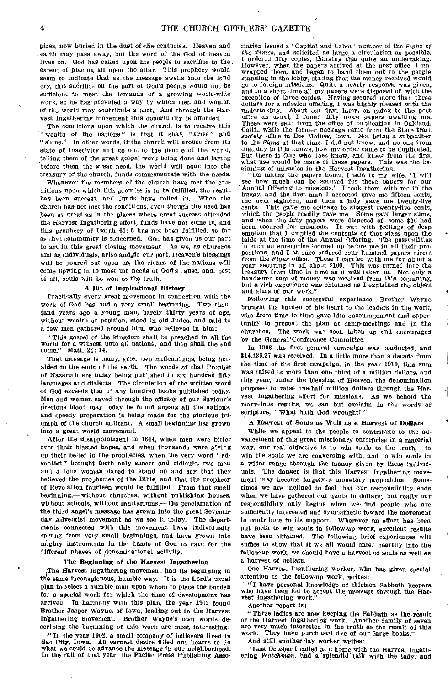pires, now buried in the dust of the centuries. Heaven and earth may pass away, but the word of the God of heaven lives on. God has called upon his people to sacrifice to the, extent of placing all upon the altar. This prophecy would seem to indicate that as, the message swells into the loud cry, this sacrifice on the'part of God's people would not be sufficient to meet the demands of a growing world-wide work, so he has provided a way by which men and women of the world may contribute a part, And through the Harvest Ingathering movement this opportunity is afforded.

The conditions upon which the church is to receive this " wealth of the nations" is that it shall "arise" and "shine." In other words, if the church will arouse from its In other words, if the church will arouse from its state of inactivity and go out to the people of the world, telling them of the great gospel work being done and laying before them the great need, the world will pour into the treasury of the church, funds commensurate with the needs.

Whenever the members of the church have met the conditions upon which this promise is to be fulfilled, the result has been success, and funds have rolled in, When the church has not met the conditions, even though the need has been as great as in the places where great success attended the Harvest Ingathering effort, funds have not come in, and this prophecy of Isaiah 60: 5. has not been fulfilled, so far as that community is concerned. God has given us our part to act in this great closing movement. As we, as churches and as individuals, arise and, do our part, Heaven's blessings will be poured out upon us, the riches of the nations will come flpwing in to meet the needs of God's cause, and, best of all, souls will be won to the truth.

#### A Bit of Inspirational History

Practically every great movement in connection with the work of God has had a very small beginning. Two thousand years ago a young man, barely thirty years of age, without wealth or position, stood in old Judea, and said to a few men gathered around him, who believed in him:

"This gospel of the kingdom shall be preached in all the world for a witness unto all nations; and then shall the end come." Matt, 24: 14.

That message is today, after two millenniums, being heralded to the ends of the earth. The words of that Prophet of Nazareth are today being published in six hundred fifty languages and dialects. The circulation of the written word of God exceeds that of any hundred books published today. Men and women saved through the efficacy of our Saviour's precious blood may today be found among all the nations, and speedy preparation is being made for the glorious triumph of the church militant. A small beginning has grown into a great world movement.

After the disappointment in 1844, when men were bitter over their blasted hopes, and when thousands were giving up their belief in the prophecies, when the very word " adventist" brought forth only sneers and ridicule, two men and a lone woman dared to stand up and say that they believed the prophecies of the Bible, and that the prophecy of Revelation fourteen would be fulfilled. From that small beginning,— without churches, 'without publishing houses, without schools, without sanitariums,— the proclamation of the third angel's message has grown into the great Seventhday Adventist movement as ws see it today. The departments connected with this movement have individually sprung from very small beginnings, and have grown into mighty instruments in the hands of Goa to care for the different phases of denominational activity.

## The Beginning of the Harvest Ingathering

;The Harvest Ingathering movement bad its beginning in the same inconspicuous, humble way. It is the Lord's usual plan to select a humble man upon whom to place the burden for a special work for which the time of development has arrived. In harmony with this plan, the year 1902 found Brother Jasper Wayne, of Iowa, leading out in the Harvest Ingathering movement. Brother Wayne's own words describing the beginning of this work are most interesting:

In the year 1902, a small company of believers lived in Sac City, Iowa. An earnest desire filled our hearts to do. what we could to advance the message in our neighborhood. In the fall of that year, the Pacific Press Publishing Association issued a Capital and Labor' number of the *Signs of the Times,* and solicited as large, a circulation as possible. I ordered fifty copies, thinking this quite an undertaking. However, when the papers arrived at the post office, I unwrapped them, and began to hand them out to the people standing in the lobby, stating that the money received would go to foreign missions. Quite a hearty response was given, and in a short time all my papers were disposed of, with the exception of three copies. Having secured more than three dollars for a mission offering, I was highly pleased with the undertaking, About ten days later, on going to the post office as usual, I found fifty more papers awaiting me. These were sent from the office of publication in Oakland, Calif., while the former package came from the State tract society office in Des Moines, Iowa. Not being a subscriber to the *Signs* at that time, I did not know, and no one from that, day to this knows, how my order came to be duplicated. But there is One who does know, and knew from the first what use would be made of these papers. This was the beginning of miracles in the Harvest Ingathering.

"On taking the papers home, I said to my wife, 'I will see how much can be secured for these papers for our Annual Offering to missions.' I took them with me in the buggy, and the first man I accosted gave me fifteen cents, the next eighteen, and then a lady gave me twenty-five cents. This gave me courage to suggest twenty-five cents, which the people readily gave me. Some gave larger sums, and when the fifty papers were disposed of, some \$26 had been secured for missions. It was with feelings of deep emotion that I emptied the contents of that glass upon the table at the time of the Annual Offering. The possibilities table at the time of the Annual Offering. in such an enterprise loomed up before me in all their proportions, and I at once ordered four hundred papers direct from the *Signs* office. These I carried with me for about a year, securing in all about \$100. This was turned into the treasury from time to time as it was taken in. Not only a handsome sum of money was received from this beginning, but a rich experience was obtained as I explained the object and aims of our work."

Following this successful experience, Brother Wayne brought the burden of his heart to the leaders in the work, who from time to time gave him encouragement and opportunity to present the plan at camp-meetings and in the churches. The work was soon taken up and encouraged by the General'Conference Committee.

In 1908 the first general campaign was conducted, and \$14,136.77 was received. In a little more than a decade from the time of the first campaign, in the year 1919, this sum was raised to more than one third of a million dollars, and this year, under the blessing of Heaven, the denomination proposes to raise one-half million dollars through the Harvest Ingathering effort for missions. As we behold the marvelous results, we can but exclaim in the words of scripture, "What hath God wrought!"

A Harvest of Souls as Well as a Harvest of Dollars

While we appeal to the people to contribute to the advancement of this great missionary enterprise in a material way, our real objective is to win souls to the truth,— to win the souls we are conversing with, and to win souls in a wider range through the money given by these individuals. The danger is that this Harvest Ingathering movement may become largely •a monetary proposition. Sometimes we are inclined to feel that our responsibility ends when we have gathered our quota in dollars; but really our responsibility only begins when we- find people who are sufficiently interested and sympathetic toward the movement to contribute to its support. Wherever an effort has been put forth to win souls in follow-up work, excellent results have been obtained. The following brief experiences will suffice to show that if we all would enter heartily into the follow-up work, we should have a harvest of souls as well as a harvest of dollars.

One Harvest Ingathering worker, who has given special attention to the follow-up work, writes:

"I have personal knowledge of thirteen Sabbath keepers who have been led to accept the message through the Harvest Ingathering work."

Another report is:

Three ladies are now keeping the Sabbath as the result of the Harvest Ingathering work. Another family of seven are very much interested in the truth as the result of this work. They have purchased five of our large books.'

And still another Tay worker writes:

"Last October I called at a home with the Harvest Ingathering *Watchman*, had a splendid talk with the lady, and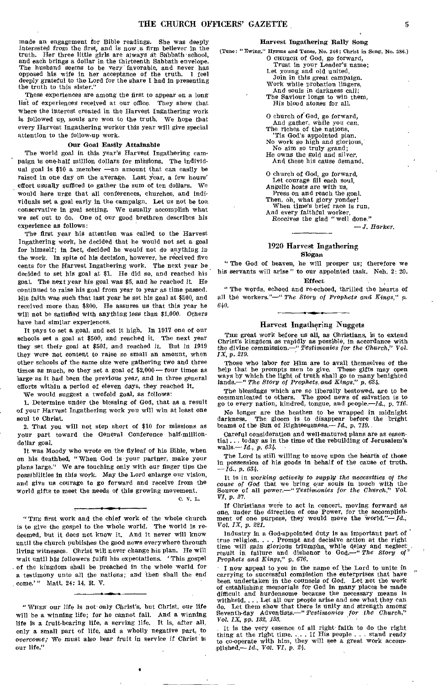made an engagement for Bible readings. She was deeply interested from the first, and is now a firm believer in the truth. Her three little girls are always at Sabbath school, Her three little girls are always at Sabbath school, and each brings a dollar in the thirteenth Sabbath envelope. The husband seems to be very favorable, and never has opposed his wife in her acceptance of the truth. I feel deeply grateful to the Lord for the share I had in presenting the truth to this sister."

These experiences are among the first to appear on a long list of experiences received at our office. They show that where the interest created in the Harvest Ingathering work is followed up, souls are won to the truth. We hope that every Harvest Ingathering worker this year will give special attention to the follow-up work.

#### Our Goal Easily Attainable

The world goal in this year's Harvest Ingathering campaign is one-half million dollars for missions. The individual goal is \$10 a member —an amount that can easily be raised in one day on the average. Last year, a few hours' effort usually sufficed to gather the sum of ten dollars. We would here urge that all conferences, churches, and individuals set a goal early in the campaign. Let us not be too. conservative in goal setting. We usually accomplish what we set out to do. One of our good brethren describes his experience as follows:

The first year his attention was called to the Harvest Ingathering work, he decided that he would not set a goal for himself; in fact, decided he would not do anything in the work. In spite of his decision, however, he received five cents for the Harvest Ingathering work. The next year he decided to set his goal at \$1. He did so, and reached his goal. The next year hie goal was \$5, and he reached it. He continued to raise his goal from year to year as time passed. His faith was such that last year he set his goal at \$500, and received more than \$800. He assures us that this year he will not be satisfied with anything less *than* \$1,000. Others have had similar experiences.

It pays to set a goal, and set it high. In 1917 one of our schools set a goal at \$500, and reached it. The next year they set their goal at \$501, and reached it, But in 1919 they were not content to raise so small an amount, when other schools of the same size were gathering two and three times as much, so they set a goal of \$2,000— four times as large as ft had been the previous year, and in three general efforts within a period of eleven days, they reached it.

We would suggest a twofold goal, as follows:

1. Determine under the blessing of God, that as a result of your Harvest Ingathering work you will win at least one soul to Christ.

2. That you will not stop short of \$10 for missions as your part toward the General Conference half-milliondollar goal.

It was Moody who wrote on the flyleaf of his Bible, when on his deathbed, "When God is 'your partner, make your plans large." We are touching only with our finger tips the Possibilities in this work. May the Lord enlarge our vision, and give us courage to go forward and receive from the world gifts to meet the needs of this growing movement.<br> $C. V. L.$ 

"THE first work and the chief work of the whole church is to give the gospel to the whole world. The world is redeemed, but it does not know it. And it never will know until the church publishes the good news everywhere through living witnesses. Christ will never change his plan. He will wait until his followers fulfil his expectations. This gospel . of the kingdom shall be preached in the whole world for a testimony unto all the *nations;* and then shall the end come.'" Matt. 24: 14, R. V.

"WHEN our *life is* not• only Christ's, but Christ, our life will be a winning life; for he cannot fail. And a winning life is a fruit-bearing life, a serving life. It is, after all, only a small part of life, and a wholly negative part, to *overcome; We* must also bear fruit in service if Christ is our life."

#### Harvest Ingathering Rally Song

(Tune: "Ewing," Hymns and Tunes, No. 246; Christ in Song, No. 386.) O CHURCH of God, go forward, Trust in your Leader's name; Let young and old united, Join in this great campaign. Work while probation lingers, And souls in darkness call; The Saviour longs to win them, His blood atones for all. O church of God, go forward, And gather, while you can, The riches of the nations, 'Tis God's appointed plan. No work so high and glorious, No aim so truly grand; He owns the gold and silver, And these his cause demand. O church of God, go forward, Let courage fill each soul, Angelic hosts are with us, Press on and reach the goal. Then, oh, what glory yonder! When time's brief race is run,

And every faithful worker, *Receives* the glad "well done."

*— J. Harker.* 

#### 1920 Harvest Ingathering Slogan

" The God of heaven, he will prosper us; therefore we his servants will arise " to our appointed task. Neh. 2: 20.

#### **Effect**

" The words, echoed and re-echoed, thrilled the hearts of all the workers."—" *The Story of Prophets and Kings,"* p. *640.* 

#### Harvest Ingathering Nuggets

THE great work before us all, as Christians, is to extend Christ's kingdom as rapidly as possible, in accordance with *the* divine commission.—" *Testimonies for the Church," Vol. IX, p. 219.* 

Those who labor for Him are to avail themselves of the help that he prompts men to give. These gifts may open ways by which the light of truth shall go to many benighted lands.—" *The Story of Prophets, and Kings," p. 634,* 

The blessings which are so liberally bestowed, are to be communicated to others. The good news of salvation is to go to every nation, kindred, tongue, and people.—Id., p. *716.* 

No longer are the heathen to be wrapped in midnight darkness. The gloom is to disappear before the bright The gloom is to disappear before the bright beams of the Sun of Righteousness.— *Id., p. 719.* 

Careful consideration and well-matured plans are as essential ... today as in the time of the rebuilding of Jerusalem's walls.— *Id., p.* 634.

The Lord is still willing to move upon the hearts of those in possession of his goods in behalf of the cause of truth. *—Id.,* p. *634.* 

It is in *working actively to supply the necessities of the cause of God* that we bring our souls in touch with the Source of all power.—" *Testimonies for the Church," Vol. VI, p. 97.* 

If Christians were to act in concert, moving forward as one, under the direction of one Power, for the accomplishment of one purpose, they would move the World."— *Id., Vol. IX, p. 221.* 

Industry in a God-appointed duty is an important part of true religion.... Prompt and decisive action at the right<br>time will gain glorious triumphs, while delay and neglect<br>result in failure and dishonor to God.—" The Story of<sup>3</sup> *Prophets and Kings," p. 676.* 

I now appeal to you in the name of the Lord to unite in carrying to successful completion the enterprises that have been undertaken in the counsels *of* God. Let not the work of establishing memorials for God in many places be made difficult and burdensome because the necessary means is withheld.... Let all our people arise and see what they can do. Let them show that there is unity and strength among Seventh-day *Adventists.—"Testimonies for the Church," Vol. IX, pp. 132, 133.* 

It is the very essence of all right faith to do the right thing at the right time..,..If His people . . . stand ready to co-operate with him, they will see a great work accom $p$ lished.—  $Id., Vol. VI, p.$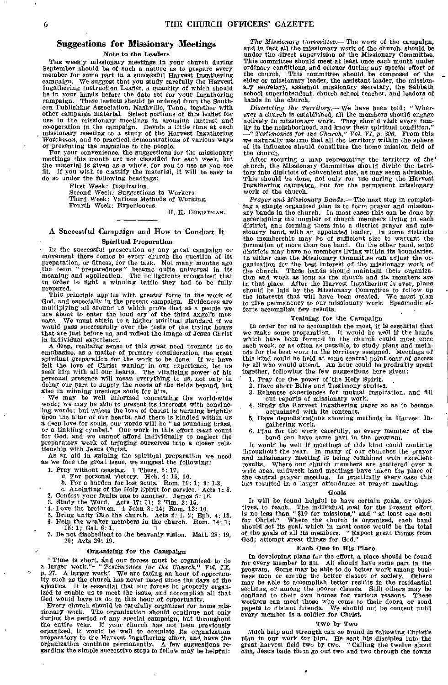# Suggestions for Missionary Meetings

Note to the Leaders

THE weekly missionary meetings in your church during September should be of such a nature as to prepare every member for some part In a successful Harvest Ingathering campaign. We suggest that you study carefully the Harvest Ingathering Instruction Leaflet, a quantity of which should be in your hands before the date set for your Ingathering campaign. These leaflets should be ordered from the Southern Publishing Association, Nashville, Tenn., together with other campaign material. Select portions of this leaflet for use in the missionary meetings in arousing interest and co-operation in the campaign. Devote a little time at each missionary meeting to a study of the Harvest Ingathering *Watchman,* and to practical demonstrations of various ways of presenting the magazine to the people.

For your convenience, the suggestions for the missionary<br>meetings this month are not classified for each week, but<br>the material is given as a whole, for you to use as you see<br>fit. If you wish to classify the material, it w do so under the following headings:

First Week: Inspiration.

Second Week: Suggestions to Workers. Third. Week: Various Methods of Working. Fourth Week: Experiences.

H. K. CHRISTMAN.

# A Successful Campaign and How to Conduct It Spiritual Preparation

in the successful prosecution of any great campaign or movement there comes to every church the question of its preparation, or fitness, for the task. Not many months ago the term " preparedness" became quite universal in its meaning and application. The belligerents recognized that in order to fight a winning battle they had to be fully prepared.

This principle applies with greater force in the work of God, and especially in the present campaign. Evidences are multiplying all around us which prove that as a people we are about to enter the loud cry' of the third angel's mes-sage. We must attain to a higher spiritual standard if we would pass successfully over the tests of the trying hours that are just before us, and reflect the image of Jesus Christ in individual experience.

A deep, realizing sense of this great need prompts us to emphasize, as a matter of primary consideration, the great spiritual preparation for the work to be done. If we have felt the love of Christ waning in our experience, let us seek him with all our hearts. The vitalizing power of his personal presence will mean everything to us, not only in doing our part to supply the needs of the fields beyond, but Also in winning precious souls for him.

We may be well informed concerning the world-wide work; we may be able to present its interests with convincing words; but unless the love of Christ is burning brightly upon the altar of our hearts, and there is kindled within us<br>a deep love for souls, our words will be "as sounding brass,<br>or a tinkling cymbal." Our work in this effort must count<br>for God, and we cannot afford individually preparatory work of bringing ourselves into a closer rela-tionship with Jesus Christ,

As an aid in gaining the spiritual preparation we need as we face the great issue, we suggest the following:

1. Pray without ceasing. 1 Thess, 5:17.

a. For personal victory. Heb. 4: 15, 16.

b. For a burden for lost souls. Rom. 10: 1; 9: 1-3. c. Anointing of the Holy Spirit for service. Acts 1: 8.

2. Confess your faults one to another. James 5: 16. 3. Study the Word. Acts 17: 11; 2 Tim. 2: 15. '4, Love the brethren. 1 John 3: 14; Rom. 12: 10.

'5. Bring unity into the church. Acts 2: 1, 2; Eph. 4: 13.

6. Help the weaker members in the church. Rom,  $14:1$ ;  $15:1$ ; Gal. 6: 1. 7. Be not disobedient to the heavenly vision. Matt. 28: 19,

20; Acts 26: 19.

# Organizing for the Campaign

"Time is short, and our forces must be organized to do a larger work."—" *Testimonies for the Church," Vol. IX, p.* 27. A larger work! We are facing an hour of opportun-ity such as the church has never faced since the days of the apostles. It is essential that our forces be properly organized to enable us to meet the issue, and accomplish all that God would have us do in this hour of opportunity.

Every church should be carefully organized for home mis-sionary work. The organization should continue not only during the period of any special campaign, but throughout the entire year. If your church has not been previously organized, it would be well to complete its organization preparatory to the Harvest Ingathering effort, and have the organization continue permanently. A few suggestions re-garding the simple successive steps to follow may be helpful:

*The Missionary Committee.—* The work of the campaign, and in fact all the missionary work of the church, should be under the direct supervision of the Missionary Committee. This committee should meet at least once each month under ordinary conditions, and oftener during any special effort of the church. This committee should be composed of the elder or missionary leader, the assistant leader, the missionary secretary, assistant missionary secretary, school superintendent, church school teacher, and leaders of bands in the church.

*Districting the Territory.— We* have been told: "Wherever a church is established, all the members should engage actively in missionary work. They should visit every family in the neighborhood, and know their spiritual condition."<br>— "Testimonies for the Church," Vol. VI, p. 296. From this we naturally assume that all the territory wi of its influence should constitute the home mission field of the church.

After securing a map representing the territory of the' church, the Missionary Committee should divide the territory into districts of convenient size, as may seem advisable.<br>This should be done, not only for use during the Harvest<br>Ingathering campaign, but for the permanent mi work of the church.

*Prayer* and *Missionary Bands.—* The next step in completing a simple organized plan is to form prayer and mission-ary bands in the church. In most cases this can be done by ascertaining the number of church members living in each district, and forming them into a district prayer and missionary band, with an appointed leader. In some districts the membership may be of sufficient size to warrant the formation of more than one band, On the other hand, some districts may have no members living within its boundaries. In either case the Missionary Committee can adjust the organization for the best interest of the missionary work of the church. These bands should maintain their organization and work as long as the church and its members are in that place. After the Harvest Ingathering is over, plans should be laid by the Missionary Committee to follow up the interests that will have been created. We must plan to give permanency to our missionary work. Spasmodic ef-forts accomplish few results.

# Training for the Campaign

In order for us to accomplish the most it is essential that we make some preparation. It would be well if the bands which have been formed in the church could meet once each week, or as often as possible, to study plans and methods for the best work in the territory assigned. Meetings of this kind could be held at some central point easy,of access by all who would attend. An hour could be profitably spent together, following the few suggestions here given:

- 
- 
- 1. Pray for the power of the Holy Spirit.<br>2. Have short Bible and Testimony studies.<br>3. Rehearse experiences for mutual inspiration, and fill
- out reports of missionary work, 4, Study the Harvest Ingathering paper so as to become acquainted with its contents.
- 5. Have demonstrations showing methods in Harvest Ingathering work.
- 6. Plan for the work carefully, so every member of the band can have some part in the program.

It would be well if meetings of this kind could continue throughout the year. In many of our churches the prayer and missionary meeting is being combined with excellent results. Where our church members are scattered over a wide area, midweek band meetings have taken the place of the central prayer meeting. In practically every case this has resulted in a larger attendance at prayer meeting.

# Goals

It will be found helpful to have certain goals, or objectives, to reach. The individual goal for the present effort is no less than " \$10 for missions," and " at least one soul for Christ." 'Where the church is organized, each band should set its goal, which in most cases would be the total of the goals of all its members. "Expect great things from God; attempt great things for God."

#### Each One in Kis Place

In developing plans for the effort, a place should be found for every member to fill. All should have some part in the program. Some may be able to do better work among business men or among the better classes of society. Others may be able to accomplish better results in the residential sections, or among the poorer classes. Still others may be confined to their own homes for various reasons. These workers can meet those who come to their doors, or send Papers to distant friends. We should not be content until every member is a soldier for Christ.

#### Two by Two

Much help and strength can be found in following Christ's plan in our work for him. He sent his disciples into the great harvest field two by two. "Calling the twelve about him, Jesus bade them go out two and two through the towns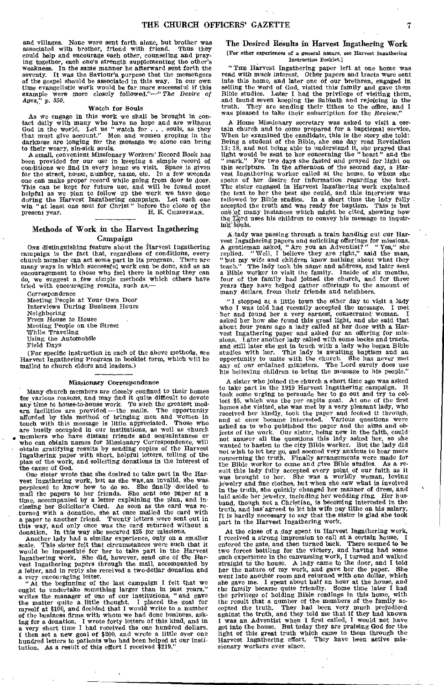and villages. None were sent forth alone, but brother was associated with brother, friend with friend. Thus they could help and encourage each other, counseling and praying together, each one's strength supplementing the other's weakness. In the same manner he afterward sent forth the seventy. It was the Saviour's purpose that the messengers of the gospel should be associated in this way. In our own time evangelistic work would be far more successful if this example were more closely followed."—" *The Desire of Ages,"* p. *350.* 

#### Watch for Souls

As we engage in this work we shall be brought in contact daily with many who have no hope and are without God in the world. Let us " watch for . . . souls, as they that must give account." Men and women groping in the darkness are longing for the message we alone can bring to their weary, sin-sick souls.

A small, convenient Missionary Workers' Record Book has been provided for our use in keeping a simple record of conditions we find in every home we visit. Space is given for the street, house, number, name, etc. In a few seconds one can make proper record while going from door to door. This can be kept for future use, and will be found most helpful as we plan to follow up the work we have done during the Harvest Ingathering campaign. Let each one win "at least one soul for Christ" before the close of the present year. H. K. CHRISTMAN.

# Methods of Work in the Harvest Ingathering Campaign

ONE distinguishing feature about the Harvest Ingathering campaign is the fact that, regardless of conditions, every church member can act some part in its program. There are many ways in which successful work can be done, and as an encouragement to those who feel there is nothing they can do, we suggest a few simple methods which others have tried with encouraging results, such as,—

Correspondence Meeting People at Your Own Door Interviews During Business Hours Neighboring From House to House Meeting People on the Street

While Traveling Using the Automobile

Field Days

(For specific instruction in each of the above methods, *see*  Harvest Ingathering Program in booklet form, which will be mailed to church elders and leaders.)

#### Missionary Correspondence

Many church members are closely confined to their homes for various reasons, and may find it quite difficult to devote any time to house-to-house work. To such the greatest modern facilities are provided —the mails. The opportunity afforded by this method of bringing men and women in touch with this message is little appreciated. Those who are busily occupied in our institutions, as well as church 4, members who have distant friends and acquaintances or who can obtain names for Missionary Correspondence, will obtain gratifying results by sending copies of the Harvest Ingathering paper with short, helpful letters, telling of the plan of the work, and soliciting donations in the interest of the cause of God.

One sister wrote that she desired to take part in the Harvest Ingathering work, but as she was, an invalid, she was perplexed to know bow to do so. She finally decided to mail the papers to her friends. She sent one paper at a time, accompanied by a letter explaining the plan, and inclosing her Solicitor's Card. As soon as the card was re-turned with a donation, she at once mailed the card with a paper to another friend. Twenty letters were sent out in this way, and only once was the card returned without a donation. In this way she secured \$25 for missions.

Another lady had a similar experience, only on a smaller scale. This sister felt that circumstances were such that it would be impossible' for her to take part in the Harvest Ingathering work. She did, however, send one of the Harvest Ingathering papers through the mail, accompanied by a letter, and in reply she received a two-dollar donation and

a very encouraging letter. "At the beginning of the last campaign I felt that we ought to undertake something larger than in past years," writes the manager of one of our institutions, "and gave the matter quite a little thought. I placed the goal for myself at \$100, and decided that I would write to a number of the business firms with whom we had done business, asking for a donation. I wrote forty letters of this kind, and in a very short time I had received the one hundred dollars. I then set a new goal of \$200, and wrote a little over one hundred letters to patients who had been helped at our institution. As a result of this effort I received \$219."

## The Desired Results in Harvest Ingathering Work [For other experiences of a general nature, see Harvest Ingathering

Instruction Booklet.]

"THE Harvest Ingathering paper left at one home was read with much interest. Other papers and tracts were sent into this home, and later one of our brethren, engaged in selling the word of God, visited this family and gave them Bible studies. Later I had the privilege of visiting them, and found seven keeping the. Sabbath and rejoicing in the truth. They are sending their tithes to the office, and I was pleased to take their subscription for the *Review?'* 

A Home Missionary secretary was asked to visit a cer-tain church and to come prepared for a baptismal service. When he examined the candidate, this is the story she told: Being a student of the Bible, she one day read Revelation 13: 18, and not being able to understand it, she prayed that light would be sent to her concerning the "beast" and the "mark." For two days she fasted and prayed for light on this scripture. In the afternoon of the second day, a Harvest Ingathering worker called at the home, to whom she spoke of her desire for information regarding the text. The sister engaged in Harvest Ingathering work explained the text to her the best she could, and this interview was followed by Bible studies. In a short time the lady fully accepted the truth and was ready for baptism. This is but one of  $q$  many instances which might be cited, showing how the Tord uses his children to convey his message to inquiring souls.

A lady was passing through a train handing out our Harvest Ingathering papers and soliciting offerings for missions.<br>A gentleman asked, "Are you an Adventist?" "Yes," she replied. "Well, I believe they are right," said the replied. "Well, I believe they are right," said the man, "but my wife and children know nothing about what they teach." The lady took his name and address, and later sent a Bible worker to visit the family. Inside of six months, four of the family had joined the church, and for three years they have helped gather offerings to the amount of many dollars, from their friends and neighbors.

" I stopped at a little town the other day to visit a lady who I was told had recently accepted the message. I met her and found her a very earnest, consecrated' woman. I asked her how she found this great light, and she said that about four years ago a lady called at her door with a Harvest Ingathering paper and asked for an offering for missions. Later another lady called with some books and tracts,<br>and still later she got in touch with a lady who began Bible<br>studies with lier. This lady is awaiting baptism and an<br>opportunity to unite with the church. She ha any of our ordained ministers. The Lord surely does use his believing children to bring the message to his people."

A sister who joined the church a short time ago was asked to take part in the 1919 Harvest Ingathering campaign, It took some urging to persuade her to go out and try to col-lect \$5, which was the per capita goal. At one of the first homes she visited, she was met by a very pleasant lady, who received her kindly, took the paper and looked it through, and at once became interested. Various questions were asked as to who published the paper and the aims and objects of the work. Our sister, being new in the faith, wanted to hasten to the city Bible worker. But the lady did<br>not wish to let her go, and seemed very anxious to hear more<br>concerning the truth. Finally arrangements were made for<br>the Bible worker to come and give Bible stud sult this lady fully accepted every point of our faith as it was brought to her. She was a worldly woman, loving Jewelry and fine clothes, but when she saw what is involved in the truth, she quickly changed her manner of dress, and laid aside her jewelry, including her wedding ring. Her husband, though not a Christian, is becoming interested in the truth, and has'agreed to let his wife pay tithe on his salary. It is hardly necessary to say that the sister is glad she took part in the Harvest Ingathering work.

At the close of a day spent in Harvest Ingathering work, I received a strong impression to call at a certain house. I entered the gate, and then turned back. There seemed to be two forces battling for the victory, and having had some such experience in the canvassing work, I turned and walked straight to the house. A lady came to the door she gave me. I spent about half an hour at the house, and the family became quite friendly. Some time later I had the privilege of holding Bible readings in this home, with the result that a number of the members of 'the family ac-cepted the truth. They had been very much prejudiced against the truth, and they told me that if they had known<br>I was an Adventist when I first called, I would not have<br>got into the house. But today they are praising God for the<br>light of this great truth which came to them t Harvest Ingathering effort.<br>sionary workers ever since.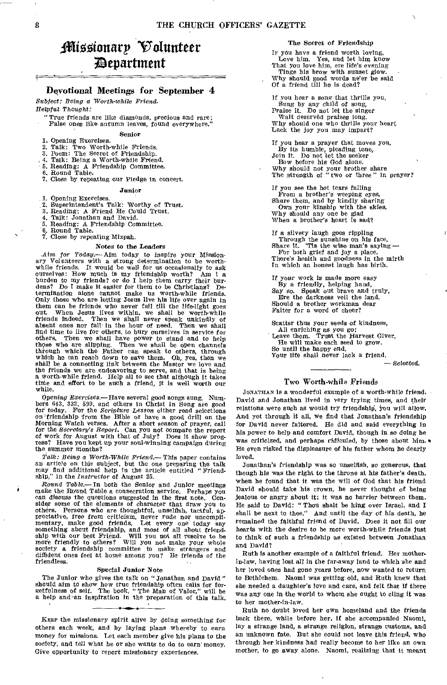# 114Sionarp Volunteer # laepartment

# Devotional Meetings for September 4

*Subject: Being* a *Worth-while Friend.* 

*Helpful Thought:* 

"True friends are like diamonds, precious and rare; False ones like autumn leaves, found everywhere."

# Senior

- 1. Opening Exercises.
- 2. Talk: Two Worth-while Friends. 3. Poem: The Secret of Friendship.
- 
- 4. Talk: Being a Worth-while Friend. 5. Reading: A Friendship Committee.
- 
- 6. Round Table. 7. Close by repeating our Pledge in concert.

#### Junior

- 1. Opening Exercises.
- 2. Superintendent's Talk: Worthy of Trust.
- 3. Reading: A Friend He Could Trust. 4. Talk: Jonathan and David.
- 
- 5. Reading: A Friendship Committee. 6. Round Table.

7. Close by repeating Mizpah.

#### Notes to the Leaders

*.Aim for Today.—* Aim today to inspire your Mission-ary Volunteers with a strong determination to be worthwhile friends. It would be well for us occasionally to ask ourselves: How much is my friendship worth? Am I a burden to my friends? or do I help them carry their bur-dens? Do I make it easier for them to be Christians? De-termination alone cannot make us worth-while friends. Only those who are letting Jesus live his life over again in them can be friends who never fail till the life-light goes out. When Jesus lives within, we shall be worth-while friends indeed. Then we shall never speak unkindly of absent ones nor fail in the hour of need. Then we shall find time to live for others, to bury ourselves in service for others. Then we shall have power to stand and to help those who are slipping. Then we shall be open channels through which the Father can speak to others, through which he can reach down to save them. Oh, yes, then we shall be a connecting link between the Master we love and the friends we are endeavoring to serve, and that is being a worth-while friend. Help all to see that although it takes time and effort to be such a friend, it is well worth our while.

Opening *Exercises.—Have* several good songs sung. Num-bers 643, 332, 599, and others in Christ in Song are good for today. For the *Scripture Lesson* either read selections on 'friendship from the Bible or have a good drill on the Morning Watch verses. After a short season of prayer, call for the *Secretary's Report.* Can you not compare the report of work for August with that of July? Does it show progress? Have you kept up your soul-winning campaign during the summer months?

*Talk: Being a Worth-While Friend.—* This paper contains an article on this subject, but the one preparing the talk may find additional helpin the article entitled "Friend. ship," in the *Instructor* of August 25.

*Round Table.—* In both the Senior and Junior meetings make the Round Table a consecration service. Perhaps you can discuss the questions suggested in the first note. sider some of the elements of character that draw you to others. Persons who are thoughtful, unselfish, tactful, appreciative, free from criticism, never rude nor uncompli-mentary, make good friends. Let every one today say something about friendship, and most of all about friendship with our best Friend. Will you not all resolve to be more friendly to others? Will you not make your whole society a friendship committee to make strangers and d friendless.

#### Special Junior Note

The Junior who gives the talk on "Jonathan and David" should aim to show how true friendship often calls for for-getfpiness of self. The book, "The Man of Valor," will be a help and-an inspiration in the preparation of this talk.

KEEP the missionary spirit alive by doing something for others each week, and by laying plans whereby to earn money for missions. Let each member give his plans to the society, and tell what he or she wants to do to earn' money. Give opportunity to report missionary experiences.

#### The Secret of Friendship

If you have a friend worth loving, Love him. Yes, and let him know That you love him, ere life's evening Tinge his brow with sunset glow. Why should good words ne'er be said Of a friend till he is dead?

If you hear a song-that thrills you, Sung by any child of song, Praise it. Do not let the singer Wait deserved praises long.<br>Why should one who thrills your heart Lack the joy you may impart?

If you hear a prayer that moves you, By its humble, pleading tone, Join it. Do not let the seeker

Bow before hie God alone. Why should not your brother share The strength of "two or three" in prayer?

If you see the hot tears falling From a brother's weeping eyes, Share them, and by kindly sharing Own your kinship with the skies. Why should any one be glad When a brother's heart is sad?

If a silvery laugh goes rippling Through the sunshine on his face, Share it. 'Tis the wise man's saying— For both grief and joy a place. There's health and goodness in the mirth In which an honest laugh has birth.

If your work is made more easy By a friendly, helping hand, Say so. Speak out brave and truly, Ere the darkness veil the land. Should a brother workman dear Falter for a word of cheer?

Scatter thus your seeds of kindness, All enriching as you go; Leave them. Trust the Harvest Giver, He will make each seed to grow. So until the happy end, Your life shall never lack a friend.

— Selected.

#### Two Worth-while Friends

JONATHAN is a wonderful example of a worth-while friend. David and Jonathan lived in very trying times, and their relations were such as would try friendship, You will allow. And yet through it all, we find that Jonathan's friendship for David never faltered. He did and said everything in his power to help and comfort David, though in so doing he was criticized, and perhaps ridiculed, by those about him.  $\bullet$ He even risked the displeasure of his father whom he dearly loved.

Jonathan's friendship was so unselfish, so generous, that though his was the right to the throne at his father's death, when he found that it was the will of God that his friend David should take his crown, he never thought of being Jealous or angry about it; it was no barrier between them. He said to David: "Thou shalt he king over Israel, and I shall be next to thee." And until the day of his death, he remained the faithful friend of David. Does it not fill our hearts with the desire to be more worth-while friends just to think of such a friendship as existed between Jonathan and David?

Ruth is another example of a faithful friend. Her motherin-law, having lost all in the far-away land to which she and her loved ones had gone years before, now wanted to return to Bethlehem. Naomi was getting old, and Ruth knew that she needed a daughter's love and care, and felt that if there was any one in the world to whom she ought to cling it was to her mother-in-law.

Ruth no doubt loved her own homeland and the friends back there, while before her, if she accompanied Naomi, lay a strange land, a strange religion, strange customs, and an unknown fate. But she could not leave this friend, who through her kindness had really become to her like an own mother, to go away alone. Naomi, realizing that it meant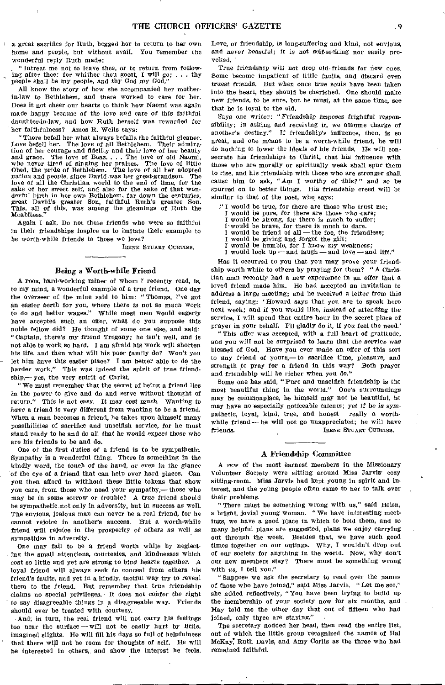a great sacrifice for Ruth, begged her to return to her own home and people, but without avail. You remember the wonderful reply Ruth made:

" Intreat me not to leave thee, or to return from follow ing after thee: for whither thou goest, I will go;  $\dots$  thy people shall be *my* people, and thy God my God."

All know the story of how she accompanied her motherin-law to Bethlehem, and there worked to care for her. Does it not cheer our hearts to think how Naomi was again made happy because of the love and care of this faithful daughter-in-law, and how Ruth herself was rewarded for her faithfulness? Amos R. Wells says:

"There befell her what always befalls the faithful gleaner. Love befell her. The love of all Bethlehem. Their admiration of her courage and fidelity and their love of her beauty and grace. The love of Boaz.... The love of old Naomi, who never tired of singing her praises. The love of little Obed, the pride of Bethlehem. The love of all her adopted nation *and* people, since David was her great-grandson. The love of all the Christian world to the end of time, for the sake of her sweet self, and also for the sake of that wonderful birth in her own Bethlehem, far down the centuries, great David's greater Son, faithful Ruth's greater Son. This, all *of this, was* among the gleanings of Ruth the Moabitess."

Again I ask, Do not these friends who were so faithful in their friendships inspire us to imitate their example to be worth-while friends to those we love?

IRENE STUART CURTISS.

#### Being a Worth-while Friend

A POOR, hard-working miner of whom I recently read, is, to my mind, a wonderful example of a true friend. One day the overseer of the mine said to him: "Thomas, I've got an easier berth for you, where there is not so much work to do and better wages." While most men would eagerly While most men would eagerly have accepted such an offer, what do you suppose this noble fellow did? He thought of some one else, and said: "Captain, there's my *friend Tregony;* he isn't well, and is not able to work so hard. I am afraid his work will shorten his life, and then what will his poor family do? Won't you let him have this easier place? I am better able to do the harder work." This was indeed the spirit of true friend. ship,— yes, the very spirit of Christ.

" We must remember that the secret of being a friend lies in the power to give and do and serve without thought of return." This is not easy. It *may* cost much. Wanting to have a friend is very different from wanting to *be* a friend. When a man becomes a friend, he takes upon himself many possibilities of sacrifice and unselfish service, for he must stand ready to be and do all that he would expect those who are his friends to be and do.

One of the first duties of a friend is to be sympathetic. Sympathy is a wonderful thing. There is something in the kindly word, the touch of the hand, or even in the glance of the eye of a friend that can help over hard places. Can you then afford to withhold these little tokens that show you care, from those who need your sympathy,— those who may be in some sorrow or trouble? A true *friend* should be sympathetic not only in adversity, but in success as well. The envious, jealous man can never be a real friend, for he cannot rejoice in another's success. But a worth-while friend will rejoice in the prosperity *of* others as well as sympathize in adversity.

One may fall to be a friend worth while by neglecting the small attentions, courtesies, and kindnesses which cost so little and yet are strong to bind hearts *together.* A loyal friend will always seek to conceal from others his friend's faults, and yet in a kindly, tactful way try to reveal them to the friend. But remember that true friendship claims no special privileges. It does not confer the right to say disagreeable things in a disagreeable way. Friends should ever be treated with courtesy.

And; in turn, the real friend will not carry his feelings too near the surface—will not be easily hurt by little, imagined slights. He will fill his days so full of helpfulness that there will not be room for thoughts of self. He will be interested in others, and show the interest he feels. Love, or friendship, is long-suffering and kind, not envious, *and* never *boastful; it* is not self-seeking nor easily provoked.

True friendship will not drop old-friends for new ones. Some become impatient of little faults, and discard even truest *friends.* But when once true souls have been taken into the heart, they should be cherished. One should make new friends, to be sure, but he must, at the same time, see that he is loyal to the old.

Says one writer: "Friendship Imposes frightful responsibility; in asking and receiving it, we assume charge of another's destiny." If friendship's influence, then, is so great, and one means to be a worth-while friend, he will do nothing to lower the ideals *of his friends, He* will consecrate his friendships to Christ, that his influence with those who are morally or spiritually weak shall spur them to rise, and his friendship with those who are stronger shall cause him to ask, "Am I *worthy of this?"* and so be spurred on to better things. His friendship creed will be similar to that of the poet, who says:

I would be true, for there are those who trust me;

- would be pure, for there are those who care;
- would be strong, for there is much to suffer; would be brave, for there is much to dare.
- would be friend of all  $-$  the foe, the friendless;
- would be giving and forget the gift;
- I would be humble, for I know *my weakness;*
- would look up—and laugh—and love—and lift."

Has it occurred to you that you may prove your friendship worth while to others by praying for them? "A Christian man recently had a new experience in an offer that a loved friend made him. He had accepted an invitation to address a large meeting; and he received a letter from this friend, saying: 'Howard says that you are to speak here next week; and if you would like, instead *of* attending the service, I will spend that entire hour in the secret place of prayer in your behalf. I'll gladly do it, if you feel the need.'

" This offer was accepted, with a full heart of gratitude, and you will not be surprised to learn *that* the service was blessed of God, Have you ever made an offer of this sort to any friend of yours,— to sacrifice time, pleasure, and strength to pray for a friend in this way? Both prayer and friendship will be richer when *you* do."

Some one has said, "Pure and unselfish friendship is the most beautiful thing in the world." One's surroundings may be commonplace, he himself may not be beautiful, he may have no especially noticeable talents; yet if he is sympathetic, loyal, kind, true, and honest —really a worthwhile friend—he will not go unappreciated; he will have friends. IRENE STUART CURTISS.

#### A Friendship Committee

A FEW of the most earnest members in the Missionary Volunteer Society were sitting around Miss Jarvis' cozy sitting-room. Miss Jarvis had kept young in spirit and interest, and the young people often came to her to talk over their problems.

"There must be something wrong with us," said Helen, a bright, jovial young woman. " We have interesting meetings, we have a good place in which to hold them, and so many helpful plans are suggested, plans we enjoy carrying out through the week. Besides that, we have such good times together on our outings. Why, I wouldn't drop out of our society for anything in the world. Now, why don't our new members stay? There must be something wrong with us, I tell you."

" Suppose we ask the secretary to read over the names of those who have joined," said Miss Jarvis. "Let me see," sbe added reflectively, "You have been trying to build up the membership of your society now for six months, and May told me the other day that out of fifteen who had joined, only three are staying."

The secretary nodded her head, then read the entire list, out of which the little group recognized the names of Hal McKay: Ruth Davis, and Amy Corlis as the three who had remained faithful.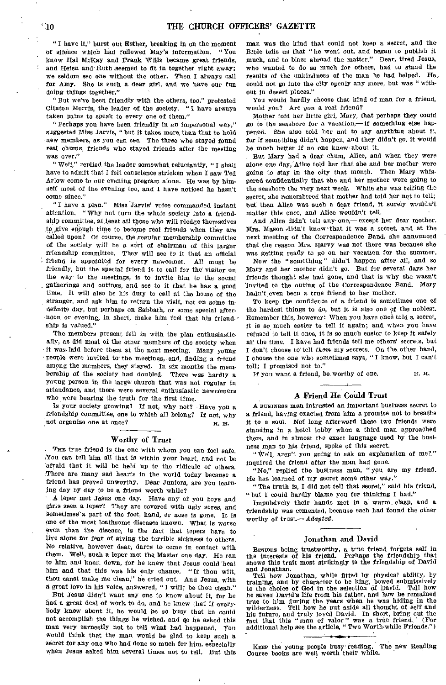" I have it," burst out Esther, breaking in on the moment Of silence which had followed May's information. "You know Hal McKay and Frank Wills became great friends, and Heien and Ruth seemed to fit in together right away; we seldom see one without the other. Then I always call for Amy. She is such a dear girl, and we have our fun doing things together."

"But we've been friendly with the others, too," protested Clinton Morris, the leader of the society. " I have always taken pains to speak to every one of them."

"Perhaps you have been friendly in an impersonal way," suggested Miss Jarvis, " but it takes more, than that to hold new members, as you can see. The three who stayed found real chums, friends who stayed friends after the meeting was over."

" Well," replied the leader somewhat reluctantly, "I shall have to admit that I felt conscience stricken when I saw Ted Arlow come to our evening program alone. He was by himself most of the evening too, and I have noticed he hasn't come since."

" I have a plan." Miss Jarvis' voice commanded instant attention. " Why not turn the whole society into a friend. ship committee, at least all tpose who will pledge themselves to give enough time to become real friends when they are called upon? Of course, the regular membership committee of the society will be a sort of chairman of this larger friendship committee. They will see to it that an official friend is appointed for every newcomer. All must be friendly, but the special friend is to call for the visitor on the way to the meetings, is to invite him to the social gatherings and outings, and see to it that he has a good time. It will also be his duty to call at the home of the stranger, and ask him to return the visit, not on some indefinite day, but perhaps on Sabbath, or some special afternoon or evening, in short, make him feel that his friendship is valued."

The members present fell in with the plan enthusiastically, as did most of the other members of the society when • it was- laid before them at the next meeting. Many young • people were invited to- the meetings, - and, finding a friend among the members, they stayed. In six months the membership of the society had doubled. There was hardly a young person in the large-church that was not regular in attendance, and there were several enthusiastic newcomers who were hearing the truth for the first time.

Is your society growing? If not, why not? *Have* you a friendship committee, one to which all belong? If not, why not organize one at once?<br>  $H, H$ .

# Worthy of Trust

THE true friend is the one with whom you can feel safe. You can tell him all that is within your heart, and not be afraid that it will be held up to the ridicule of others. There are many sad hearts in the world today because a friend has proved unworthy. Dear Juniors, are you learning day by day to be a friend worth while?

A leper met Jesus one day. Have any of you boys and girls seen a leper? They are covered with ugly sores, and sometimes a part of the foot, hand, or nose is gone. It is one of the most loathsome diseases known. What is worse even than the disease, Is the fact that lepers have to live alone for fear of giving the terrible sickness to others. No relative, however dear, dares to come in contact with them. Well, such a leper met the Master one day. He ran to him and knelt down, for he knew that Jesus could heal him and that this was his only chance. "If thou wilt, thou canst make me clean," he cried out. And Jesus, with a great love in his voice, answered, " I will; be thou clean."

But Jesus didn't want any one to know about it, for he had a great deal of work to do, and he knew that if everybody knew about it, he would be so busy that he could not accomplish the things he wished, and qo he asked this Man very earnestly not to tell what had happened. You would think that the man would be glad to keep such a secret for any one who had done so much for him, especially when Jesus asked him several times not to tell. But this man was the kind that could not keep a secret, and the Bible tells us that "he went out, and began to publish it much, and to blaze abroad the matter." Dear, tired Jesus, who wanted to do so much for others, had to stand the results of the unkindness of the man he had helped. He, could not go into the city openly any more, but was "without in desert places."

You would hardly choose that kind of man for a friend, would you? Are you a real friend?

Mother told her little girl, Mary, that perhaps they could go to the seashore for a vacation,— if something else happened. She also told her not to say anything about it, for if something didn't happen, and they didn't go, it would be much better if no one knew about it.

But Mary had a dear chum, Alice, and when they were alone one day, Alice told her that she and her mother were going to stay in the city that month. Then Mary whispered confidentially that she and her mother were going to the seashore the very next week. While she was telling the secret, she remembered that mother had toid her not to tell; but then Alice was such a dear friend, it surely wouldn't matter this once, and Alice wouldn't tell.

And Alice didn't tell any one,— except her dear mother. Mrs. Mason didn't know that it was a secret, and at the next meeting of the Correspondence Band, she announced that the reason Mrs. Harvy was not there was because she was getting ready to go on her vacation for the summer.

Now the "something" didn't happen after all, and so Mary and her mother didn't go. But for several days her friends thought she had gone, and that is why she wasn't 'invited to the outing of the Correspondence Band. Mary hadn't even been a true friend to her mother.

To keep the confidence of a friend is sometimes one of the hardest things to do, but it is also one of the noblest. Remember this, however: When you have once told a secret, it is so much easier to tell it again; and when you have refused to tell it once, it is so much easier to keep it safely all the time. I have had friends tell me others' secrets, but I don't choose to tell *them* my secrets. On the. other hand, I choose the one who sometimes says, " I know, but I can't tell; I promised not to."

If you want a friend, be, worthy of one. и. н.

# A Friend He Could Trust

A BUSINESS man intrusted an important business secret to a friend, having exacted from him a promise not to breathe it to a soul. Not long afterward these two friends were standing in a hotel lobby when a third man approached them, and in almost the exact language used by the business man to his friend, spoke of this secret.

"Well, aren't you going to ask an explanation of me?" inquired the friend after the man had gone.

"No," replied the business man, "you are my friend. He has learned of my secret some other way."

"The truth is, I did not tell that secret," said his friend, " but I could hardly blame you for thinking I had."

Impulsively their hands met in a warm, clasp, and a friendship was cemented, because each had found the other worthy of trust.— *Adapted.* 

#### Jonathan and David

BESIDES being trustworthy, a true friend forgets self in the interests of his friend. Perhaps the friendship that shows this trait most strikingly is the friendship of David and Jonathan.

Tell how Jonathan, while fitted by physical ability, by training, and by character to be king, bowed submissively to the choice of God in the selection of David. Tell how he saved David's life from his father, and how he remained true to him during the years when he was hiding in the wilderness. Tell how he put aside all thought of self and his future, and truly loved David. In short, bring out the fact that this "man of valor" was a true friend. (For additional help see the article, "Two Worth-while Friends.")

KEEP the young people busy reading. The new Reading Course books are well worth their while.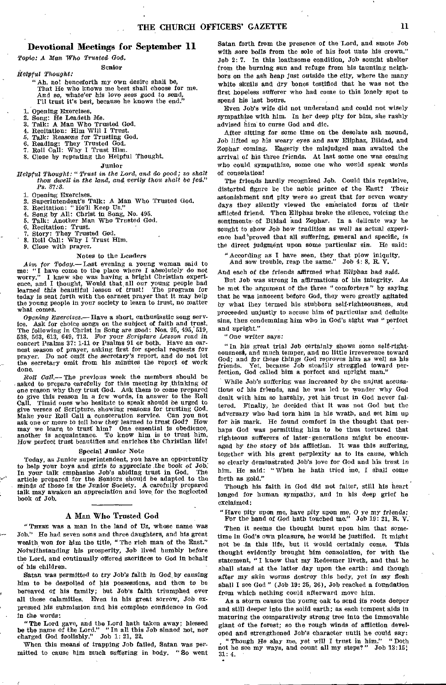# Devotional Meetings for September 11

#### *Topic: A Man Who Trusted* God.

senior

# *Helpful Thought:*

- " Ah, no! henceforth my own desire shall be, That He who knows me best shall choose for me. And so, whate'er his love sees good to send, I'll trust it's best, because he knows the end."
- 1. Opening Exercises.
- 2. Song: He Leadeth Me.<br>3. Talk: A Man Who Tru
- 3. Talk: A Man Who Trusted God.
- 4. Recitation: Him Will I Trust.
- Talk: Reasons for Trusting God.
- 
- 6. Reading: They Trusted God. 7. Roll Call: Why I Trust Him.
- 8. Close by repeating the Helpful Thought.
	- Junior
- *Helpful Thought: "Trust in the Lord, and do good;* so *shalt thou dwell in the land, and verily thou shalt be fed." Ps. 37:3.* 
	- 1. Opening Exercises.
	- Superintendent's Talk: A Man Who Trusted God.
	- 3. Recitation: " He'll Keep Us."
	- 4. Song by All: Christ in Song, No. 495.
	- 5. Talk: Another Man Who Trusted God.
	-
	-
	- 6. Recitation: Trust. 7. Story: They Trusted God. 8. Roll Call: Why I Trust Him.
	- 9. Close with *prayer.*

#### Notes to the Leaders

*Aim for* Today.— Last evening a young woman said to me: "I have come to the place where I absolutely do not worry." I knew she was having a bright Christian experience, and I thought, Would that, all our young people had *learned* this beautiful lesson of trust! The program for today is sent forth with the earnest prayer that it may help the young people in your society to learn to trust, no matter what comes.

*Opening Exercises.*—Have a short, enthusiastic song serv-<br>ice. Ask for choice songs on the subject of faith and trust. Ask for choice songs on the subject of faith and trust. The following in Christ in Song are good: Nos. 95, 495; 519, 538, 563, 613, 649, 713. For your *Scripture Lesson* read in concert Psalms 37: 1-11 or Psalms 91 or both. Have an earnest season of prayer, asking first for special requests for prayer. Do not *omit* the secretary's report, and do not let the secretary omit from his minutes the report of work done.

*Roll Call.—* The previous week the members should be asked to prepare carefully for this meeting by thinking Of one reason why they trust God. Ask them to come prepared to give this reason in a few words, in answer to the Roll Call. Timid ones who hesitate to speak should be urged to give verses of Scripture, showing reasons for trusting God. Make your Roll Call a consecration service. Can you not ask one or more to tell how they *learned* to *trust* God? How may we learn to trust him? One essential is obedience, another is acquaintance. To know him is to trust him, How perfect trust beautifies and enriches the Christian life!

#### Special Junior Note

Today, as Junior superintendent, you have an opportunity Today, as Junior supermissions, you have an experiment to help your boys and girls to appreciate the book of Job.<br>In your talk amnhasize Job's abiding trust in God. The In your talk emphasize Job's abiding trust in God. The article prepared for the Seniors should be adapted to the minds *of* those In the Junior Society. A carefully prepared talk may awaken an appreciation and love for the neglected book of Job.

## A Man Who Trusted God

" THERE was a man in the land of Uz, whose name was Job." He had seven sons and three daughters, and his great wealth won for him the title, "The rich man of the East." Notwithstanding his prosperity, Job lived humbly before the Lord, and continually offered sacrifices to God in behalf of his children.

Satan was permitted to try Job's *filth* in God,by *causing*  him to be despoiled of his possessions, and then to be bereaved of his family; but Job's faith triumphed over all these calamities. Even in his great sorrow, Job expressed his submission and his complete confidence in God In the words:

"The Lord gave, and the Lord hath taken away; blessed be the name of the Lord." " In all this Job sinned not, nor charged God foolishly." Job 1: 21, 22.

When this means of trapping Job failed, Satan was permitted to cause him much suffering in body. "So went Satan forth from the presence of the Lord, and smote Job with sore boils from the sole of his foot unto his crown." Job 2: 7. In this loathsome condition, Job sought shelter from the burning sun and refuge from his taunting neighbors on the ash heap *just outside the city,* where the many white skulls and dry bones testified that he was not the first hopeless sufferer who had come to this lonely spot to spend his last hours.

Even Job's wife did not understand and could not wisely sympathize with him. In her deep pity for him, she rashly advised him to curse God and die.

After sitting for some time on the desolate ash mound, Job lifted *up his weary* eyes and saw Eliphaz, Bildad, and Zophar coming. Eagerly the misjudged man awaited the arrival of his three friends. At last some one was coming who could sympathize, some one who would speak words of consolation!

The friends hardly recognized Job. Could this repulsive, distorted figure be the noble prince of the East? Their astonishment and pity were so great that for seven weary *days* they silently viewed the emaciated form of their afflicted friend. Then Eliphaz broke the silence, voicing the sentiments of Bildad and Zophar. In a delicate way he sought to show Job how tradition as well as actual experience had\*proved that all suffering, general and specific, is the direct judgment upon some particular sin. He said:

"According as I have seen, they that plow iniquity,

And sow trouble, reap the same." Job 4: 8, R. V. And each of the friends *affirmed* what Eliphaz had said.

But Job was strong in affirmations of his integrity. As he met the argument of the three " comforters " by saying that he was innocent before God, they were greatly agitated by what they termed his stubborn self-righteousness, and proceeded unjustly to accuse him of particular and definite sins, thus condemning him who in God's sight was "perfect and upright."

"One *writer says:* 

"In his great trial Job certainly shows some self-righteousnest, and much temper, and no little irreverence toward God; and for these *things* God reproves him as well as his friends. Yet, because Job steadily struggled toward perfection, God called him a perfect and upright man.'

While Job's suffering was increased by the unjust *accusations* of his friends, and he was led to wonder why God dealt with him so harshly, yet his trust in God never faltered. Finally, he decided that it was not God but the adversary who had torn him in his wrath, and set him up for his mark. He found comfort in the thought that perhaps God was permitting him to be thus tortured that righteous sufferers of later-generations might be encouraged by the story *of* his affliction. It was this suffering, together with his great perplexity as to its cause, which so clearly demonstrated Job's love for God and his trust in him. He said: " When he hath tried me, I shall come forth as gold."

Though his faith in God did not falter, still his heart longed for human sympathy, and in his deep grief he exclaimed:

"Have pity upon me, have pity upon me, 0 ye my *friends:*  For the hand of God hath touched me." Job 19: 21, R. V.

Then it seems the thought burst upon him that sometime in God's own pleasure, be would be justified. It might not be in this life, but it would certainly come. This thought evidently brought him consolation, for with the statement, "I know that my Redeemer liveth, and that he shall stand at the latter day upon the earth: and though after my *skin worms destroy* this body, yet in my flesh shall I see God" (Job 19: 25, 26), Job reached a foundation from which nothing could afterward move him.

As a storm causes the young oak to send its roots deeper and still deeper into the solid earth; as each tempest aids in maturing the comparatively strong tree into the immovable giant of the forest; so the rough winds of affliction developed and strengthened Job's character until he could say: " Though He *slay* me, yet will I trust in him." " Both not he see my ways, and count all my steps?' 31: 4.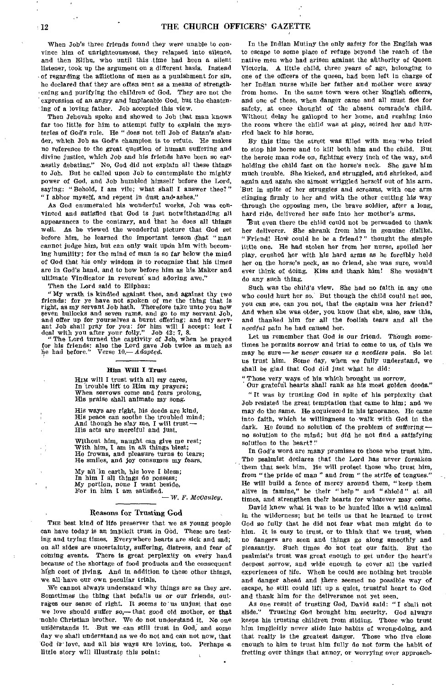When Job's three friends found they were unable to convince him of unrighteousness, they relapsed into silence, and then Elihu, who until this time had been a silent listener, took up the argument on a different basis. Instead of regarding the afflictions of men as a punishment for sin, he declared that they are often sent as a means of strengthening and purifying the children of God. They are not the expression of an angry and implacable God, but the chastening of a loving father. Job accepted this view.

Then Jehovah spoke and showed to Job that man knows far too little for him to attempt fully to explain the mysteries of God's rule. He " does not tell Job of Satan's slander, which Job as God's champion is to refute. He makes no reference to the great question of human suffering and divine justice, which Job and his friends have been so earnestly debating." No, God did not explain all these things to Job. But he called upon Job to contemplate the mighty Power of God, and Job humbled himself before the Lord, saying: "Behold, I am vile; what shall I answer thee?" "I abhor myself, and repent in dust and ashes."

As God enumerated his wonderful works, Job was convinced and satisfied that God is just notwithstanding all appearances to the contrary, and that he does all things well. As he viewed the wonderful picture that God set before him, he learned the important lesson that "man cannot judge him, but can only wait upon him with becoming humility; for the mind of man is so far below the mind of God that his only wisdom is to recognize that his times are in God's hand, and to bow before him as his Maker and ultimate Vindicator in reverent and adoring awe."

Then the Lord said to Eliphaz:

"My wrath is kindled against thee, and against thy two friends: for ye have not spoken of me the thing that is right, as my servant Job hath. Therefore take unto you now seven bullocks and seven rams, and go to my servant Job, and offer up for yourselves a burnt offering; and my servant Job shall pray for you: for him will I accept: lest I deal with you after your folly." Job 42: 7, 8. " The Lord turned the captivity of Job, when he prayed

for his friends: also the Lord gave Job twice as much as he had before." Verse 10.— *Adapted.* 

#### Him Will I Trust

HIM will I trust with all my cares, In trouble lift to Him my prayers; When sorrows come and fears prolong, His praise shall animate my song.

His ways are right, his deeds are kind, His peace can soothe the troubled mind; And though he slay me, I will trust— His acts are merciful and Just.

Without him, naught can give me rest; With him, I am in all things blest He frowns, and pleasure turns to tears; He smiles, and joy consumes my fears.

My all in earth, his love I bless; In him I all things do possess; *My* portion, none I want beside, For in him I am satisfied.

—W. *F. McCauley.* 

#### Reasons for Trusting God

THE best kind of life preserver that we as young people can have today is an implicit trust in God. These are testing and trying times. Everywhere hearts are sick and sad; on all sides are uncertainty, suffering, distress, and fear of coming events. There is great perplexity on every hand because of the shortage of food products and the consequent high cost of living. And in addition to these other things, we all have our own peculiar trials.

We cannot always understand why things are as they are. Sometimes the thing that befalls us or our friends, outrages our sense of right. It seems to us unjust that one we love should suffer so,—that good old mother, or that noble Christian brother. We do not understand it. No one understands it. But we can still trust in God, and some day we shall understand as we do not and can not now, that God is love, and all his ways are loving, too. Perhaps a little story will illustrate this point:

In the Indian Mutiny the only safety for the English was to escape to some place of refuge beyond the reach of the native men who had arisen against the authority of Queen Victoria. A little child, three years of age, belonging to one of the officers of the queen, had been left in charge of her Indian nurse while her father and mother were away from home. In the same town were other English officers, and one of these, when danger came and all must flee for safety, at once thought of the absent comrade's child. Without delay he galloped to her home, and rushing into the room where the child was at play, seized her and hurried back to his horse.

By this time the street was filled with men who tried to stop his horse and to kill both him and the child, But the heroic man rode on, fighting every inch of the way, and holding the child fast on the horse's neck. She gave him much trouble. She kicked, and struggled, and shrieked, and again and again she almost wriggled herself out of his arm. But in spite of her struggles and screams, with one arm clinging firmly to her and with the other cutting his way through the opposing men, the brave soldier, after a long, hard ride, delivered her safe into her mother's arms.

But even there the child could not be persuaded to thank her deliverer. She shrank from him in genuine dislike. "Friend! How could he be a friend?" thought the simple little one. He had stolen her from her nurse, spoiled her play, crushed her with his hard arms as he forcibly held her on the horse's neck, as no friend, she was sure, would ever think of doing. Kiss and thank him! She wouldn't do any such thing.

Such was the child's view, She had no faith in any one who could hurt her so. But though the child could not see, you can see, can you not, that the captain was her friend? And when she was older, you know that she, also, saw this, and thanked him for all the foolish tears and all the *needful* pain he had caused her.

Let us remember that God is our friend. Though sometimes he permits sorrow and trial to come to us, of this we may be sure—lie *never causes us a needless pain.* So let us trust him. Some day, when we fully understand, we shall be glad that God did just what he did:

"Those very ways of his which brought us sorrow,

Our grateful hearts shall rank as his most golden deeds." " It was by trusting God in spite of his perplexity that Job resisted the great temptation that came to him; and we may do the same. He acquiesced in his ignorance. He came into faith, which is willingness to walk with God in the dark. He found no solution of the problem of suffering no solution to the mind; but did *he* not find a satisfying solution to the heart?"

In God's word are many promises to those who trust him. The psalmist declares that the Lord has never forsaken them that seek him. He will protect those who trust him, from "the pride of man" and from "the strife of tongues." He will build a fence of mercy around them, "keep them alive in famine," be their "help" and "shield" at all times, and strengthen their hearts for whatever may come.

David knew what it was to be hunted like a wild animal in the wilderness; but he tells us that he learned to trust God so fully that he did not fear what men might do to him. It is easy to trust, or to think that we trust, when no dangers are seen and things go along smoothly and pleasantly. Such times do not test our faith. But the psalmist's trust was great enough to get under the heart's deepest sorrow, and wide enough to cover all the varied experiences of life. When he could see nothing but trouble and danger ahead and there seemed no possible way of escape, he still could lift up a quiet, trustful heart to God and thank him for the deliverance not yet seen.

As one result of trusting God, David said: "I shall not slide." Trusting God brought him security. God always keeps his trusting children from sliding. Those who trust him implicitly never slide into habits of wrong-doing, and that really is the greatest danger. Those who live close enough to him to trust him fully do not form the habit of fretting over things that annoy, or worrying over approach-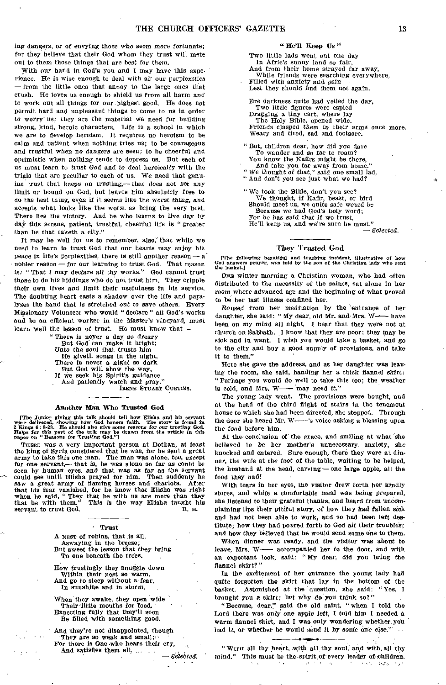ing dangers, or of envying those who seem more fortunate; for they believe that their God whom they trust will mete out to them those things that are best for them.

With our hand in God's you and I may have this experience. He is wise enough to deal with all our perplexities — from the little ones that annoy to the large ones that crush. He loves us enough to shield us from all harm and to work out all things for our highest good. He does not permit hard and unpleasant things to come to us in order to worry' us; they are the material we need for building strong, kind, heroic characters. Life is a school in which we are to develop heroism. It requires no heroism to be calm and patient when nothing tries us; to be courageous and trustful when no dangers are seen; to be cheerful and optimistic when nothing tends to depress us. But each of us must learn to trust God and *to* deal heroically with the trials that are peculiar to each of us. We need that genuine trust that keeps on trusting,— that does *not* set any limit or bound on God, but leaves him absolutely free to do the best thing, even if it seems like the worst *thing, and*  accepts what looks like the worst as being the very best. There lies the victory. And he who learns to live day by day this serene, patient, trustful, cheerful life is " greater than he that taketh a city."

It may be well for us to remember, also, that while we need to learn to trust God that our hearts may enjoy his peace in life's perplexities, there is still another reason— a nobler reason — for our learning to trust God. That reason is: "That I *may* declare all thy works." God cannot trust those to do his biddings who do 'not trust him. They cripple their own lives and *limit* their usefulness in his service. The doubting heart casts a shadow over the life and paralyzes the hand that is stretched *out* to save others. Every Missionary Volunteer who would "declare" all God's works and be an efficient worker in the Master's vineyard, must learn well the lesson of trust. He must know that-

> " There is never a day so dreary But God can make it bright; Unto the soul *that* trusts him He giveth songs in the night. There is never a night so dark But God will show the way, If we seek his Spirit's guidance And patiently watch and pray." IRENE STUART CURTISS.

#### Another Man Who Trusted God

[The Junior giving this talk should tell how Elisha and his servant were delivered, showing how God honors faith. The story is found in  $2$  Kings 6: 8.28. He should also give some reasons for our trusting God. Helps for t

THERE was a very important person at Dothan, at least the king of Syria considered that he was, for he sent a great army to take this one man. The man was alone, too, except for one servant,— that is, he was alone so far as could be seen by human eyes, and that was as far as the servant could see until Elisha prayed for him. Then suddenly he saw a great army of flaming horses and chariots. After that his fear vanished, for he knew that Elisha was right<br>when he said, "They that be with us are more than they<br>that be with them." This is the way Elisha taught his<br>servant to trust God.<br>H. H.

#### • Trust

A NEST of robins, that is all, Aswaying in the breeze;

But sweet the lesson that they *bring*  To one beneath the trees.

How trustingly they Snuggle down Within their nest so warm, And go to sleep without a' fear, In sunshine and in storm.

When they awake, they open wide Their little mouths for food, Expecting fully that they'll soon Be filled with something good.

And they're not disappointed, though They are so weak and small; For there is One who hears their cry, And satisfies them all.

*—Seteeted:* 

#### " He'll Keep Us "

Two little lads went out one day In Afric's sunny land so fair, And from their home strayed far away, While friends were searching everywhere, Filled with anxiety and pain Lest they should find them not again.

Ere darkness quite had veiled the day, Two little figures were espied Dragging a tiny cart, where lay The Holy Bible, opened wide. Friends clasped them in their arms once more, Weary and tired, sad and footsore.

" But, children dear, how did you dare To wander and so far to roam? You know the Kafirs might be there,

' And take, you far away from home." "We thought *of* that," said one small lad, And don't you see just what we had?

" We took the Bible, don't you see? We thought, if Kafir, beast, or bird Should meet us, we quite safe would be Because we had God's holy word; For he has said that *if* we trust, He'll keep us, and we're sure he must." *— Selected.* 

## They Trusted God

[The following beautiful and touching incident, illustrative of how God answers prayer, was told by the son of the Christian lady who sent the basket.]

ONE winter morning a Christian woman, who had often distributed to the necessity of the saints, sat alone in her room,where advanced age and the beginning of what proved to be her last illness confined her.

*Roused from* her meditation by the 'entrance of her daughter, she said: "My dear, old Mr. and Mrs. W- $\leftarrow$  have been on my mind all *night. I* hear that they were not at church on Sabbath. I know that they are poor; they may be sick and in want. I *wish* you would take a basket, and go to the city and buy a good supply of provisions, and take it to them."

Here she gave the address, and as her daughter was leay. ing the room, she said, handing her a thick flannel *skirt:*  "Perhaps you would do well to take this too; the weather is cold, and Mrs. W-- may need it."

The young lady went. The provisions were bought, and at the head of the third flight of stairs in the tenement house to which she had been directed, she stopped. Through the door she heard Mr. W——'s voice asking a blessing upon  $\rightarrow$ 's voice asking a blessing upon the food before him.

At the conclusion of the grace, and smiling at what she believed to be her mother's unnecessary anxiety, she knocked and entered. Sure enough, there they were at dinner, the wife at the *foot of* the table, waiting to be helped, the husband at the head, carving—one large apple, all the food they had!

With tears in her eyes, the visitor drew forth her kindly stores, and while a comfortable meal was *being* prepared, she listened to their grateful thanks, and heard from uncomplaining lips their pitiful story, of how they had fallen sick and had not been able to work, and so had been left destitute; how they had poured forth to God all their troubles; and how they believed that he would send some one to them.

When dinner was ready, and the visitor was about to leave, Mrs. W- accompanied her to the door, and with an expectant look, said: "My dear, did you bring the *flannel* skirt?"

In the excitement of her entrance the young lady had quite *forgotten* the skirt that lay in the bottom of the basket. Astonished at the question, she said: " Yes, I brought you a *skirt;* but why do you think so?"

"Because, dear," said the old saint, "when I told the Lord there was only one apple left, I told him I needed a warm flannel skirt, and I was only wondering whether, you had it, or whether he would *send* it by some one else,"-

"WITH all thy heart, with all thy soul, and with all thy mind." This must be the spirit of every leader of children.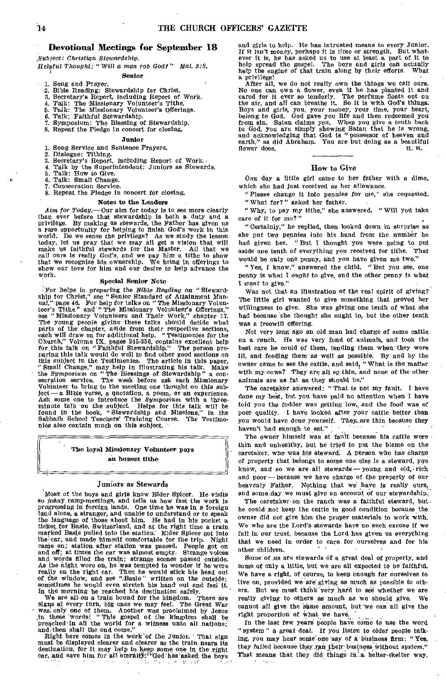# Devotional Meetings for September 18

*Subject: Christian Stewardship,* 

*Helpful Thought: "Will* a *man rob God?" Mal. 3:8.*  Senior

- 1. Song and Prayer, •
- 2. Bible Reading: Stewardship for Christ.
- 3. Secretary's Report, including Report of Work. 4. Talk: The Missionary Volunteer's Tithe.
- 
- 5. Talk: The Missionary Volunteer's Offerings.
- 6. Talk: Faithful Stewardship. 7. Symposium: The Blessing of Stewardship.
- 8. Repeat the Pledge in concert for closing.
	- - Junior
- 1. Song Service and Sentence Prayers.
- 
- 2. Dialogue: Tithing. 3. Secretary's Report, including Report of Work.
- 4. Talk by the Superintendent; Juniors as Stewards.
- 
- 5. Talk: How to Give. 6. Talk: Small Change.<br>7. Consecration Service
- Consecration Service.

8. Repeat the Pledge in concert for closing.

#### Notes to the Leaders

Aim *foe' Today.—* Our aim for today is to see more clearly than ever before that stewardship is both a duty and a privilege. By making us stewards, the Father has given us a rare opportunity for helping to finish God's work in this world. Do we sense the privilege? As we study the lesson today, let us pray that we may all get a vision that will make us faithful stewards for the Master. All t call ours is really God's, and we pay him a tithe to show that we recognize his ownership. We bring in offerings to show our love for him and our desire to help advance the work.

#### Special Senior Note

For helps in preparing the *Bible Reading* on "Steward-<br>ship for Christ," see "Senior Standard of Attainment Manual," page 46. For help for talks on "The Missionary Volun-<br>teer's Tithe " and "The Missionary Volunteer's Off The young people giving these talks should decide what parts of the chapter, aside from their respective sections, each will draw on for additional help. "Testimonies for the Church," Volume IX, pages 245-256, contains excellent help for this talk on "Faithful Stewardship." The person prefor this talk on "Faithful Stewardship." The person pre-paring this talk would do well to find other good sections on this subject in the Testimonies. The article in this paper, this subject in the Testimonies. The article in this paper, " Small Change," may help in illustrating his talk. Make the *Symposium* on "The Blessings of Stewardship" a consecration service. The week before ask each Missionary Volunteer to bring to the meeting one thought on this sub- $\det$  - a Bible verse, a quotation, a poem, or an experience.<br>Ask some one to introduce the Symposium with a three-<br>minute talk on the subject. Helps for this talk will be<br>found in the book, "Stewardship and Missions," in Sabbath School Teachers' Training Course. The Testimonies also contain much on this subject. '

> The loyal Missionary Volunteer pays an honest tithe

#### Juniors as Stewards

Mosr of the boys and girls know Elder Spicer. He visits so Many, camp-meetings, and tells us how fast the work is progressing in foreign lands. One time he was in a foreign land alone, a stranger, and unable to understand or to speak the language of those about him. He had in his pocket a ticket for Basle, Switzerland, and at the right time a train marked Basle pulled into the station. Elder Spicer got into the car, and made himself comfortable for the trip. Night came on; station after station was passed. People got on and off; at times the car was almost empty. Strange voices and off; at times the car was almost empty. and words filled the train; strange scenes passed outside. As the night wore on, he was tempted to wonder if he were really on the right car. Then he would stick his head out of the window, and see "Basle" written on the outeide; sometimes he would even stretch his hand out and feel it. In the morning he reached his destination safely

We are all on a train bound for the kingdom. There are signs at every turn, big ones we may feel. The Great War was. only one of them. Another WaS proclaimed by Jesus in these words: "This gospel of the kingdom shall be preached in all the world for a witness unto all nations; and then shall the end come."

Right here comes in the work of the Junior. That sign must be displayed clearer and clearer as the train nears its destination, for it may help to keep some one in the right car, and save him for all eternity.<sup>It</sup>God has asked the boys

and girls to help. He has intrusted means to every Junior. If it isn't money, perhaps it is time or strength. But what-ever it is, he has asked us to use at least a part of it to help spread the gospel. The boys and girls can actually help the engine of that train along by their efforts. What

a privilege! After all, we do not really own the things we call ours. No one can own a flower, even if he has planted it and cared for it ever so tenderly. The perfume floats out on the air, and all can breathe it. So it is with God's things. Boys and girls, you, your money, your time, your heart, belong to God. God gave you life and then redeemed you from sin. Satan claims you. When you give a tenth back to God, you are simply showing Satan that he is wrong, and acknowledging that God is "possessor of heaven and earth," as did Abraham. You are but doing as a beautiful flower does,  $H, H, H$ 

#### How to Give

ONE day a little girl came to her father with a dime, which she had just received as her allowance.

"Please change it into pennies for me," she requested. " What for?" asked her father.

" Why, to pay my tithe," she answered. " Will you take care of it for me?"

"Certainly," he replied, then looked down in surprise as she put two pennies into his hand from the number he had given her. "But I thought you were going to put aside one tenth of everything you received for tithe. That would be only one penny, and you have given me two."

"Yes, I know," answered the child. "But you see, one penny is what I ought to give, and the other penny is what I *want* to give."

Was not that an illustration of the real spirit of giving? The little girl wanted to give something that proved her willingness to give. She was giving one tenth of what she had because she thought she ought to, but the other tenth was a freewill offering.

Not very long ago an old man had charge of some cattle on a ranch. He was very fond of animals, and took the best care he could of them, tending them when' they were ill, and feeding them as well as possible. By and by the owner came to see the cattle, and said, "What is the matter with my cows? They are all so thin, and none of the other animals are as fat as they should be."

The caretaker answered; "That is not my fault. I have done my best, but you have paid no attention when I have told you the fodder was getting low, and the food was of poor quality. I have looked after your cattle better than you would have done yourself. They are thin because they haven't had enough to eat."

The owner himself was at fault because his cattle were thin and unhealthy, but he tried to put the blame on the caretaker, who was his steward. A person who has charge of property that belongs to some one else is a steward, you' know, and so we are all stewards — young and old, rich and poor — because we have charge of the property of our heavenly Father. Nothing that we have is really ours, and some day we must give an account of our stewardship,

The caretaker on the ranch was a faithful steward, but he could not keep the cattie in good condition because the owner did not give him the proper materials to work with. We who are the Lord's stewards have no' such excuse if we fail in our trust, because the Lord has given us everything that we need in order to care for ourselves and for his other children.

Some of us are stewards of a great deal of property, and some of only a little, but we are all expected to be faithful. We have a right, of course, to keep enough for ourselves to live on, provided we are giving as much as possible to others. But we must think very hard to see whether we are really giving to others as much as we should give. We really giving to others as much as we should give. cannot all give the same amount, but we can all give the right proportion of what we have.

In the last few years people have come to use the word " system " a great deal. If you listen to older people talking, you may hear some one say of a business firm: "Yes, they failed because they ran their business without *system*." That means that they did things in a helter-skelter way.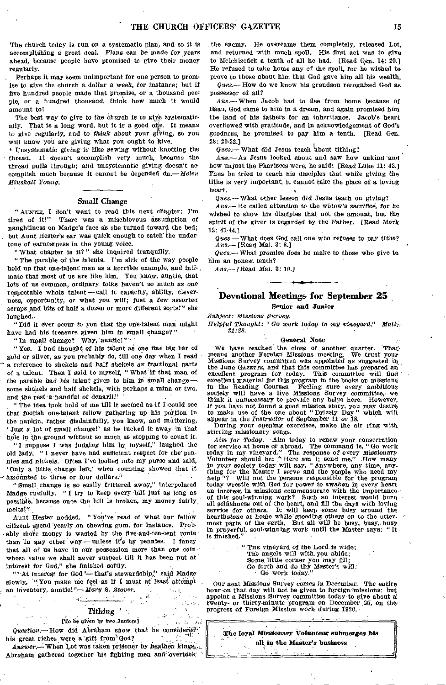The church today is run on a systematic plan, and so it is accomplishing a great deal. Plans can be made for years ahead, because people have promised to give their money regularly.

Perhaps it may seem unimportant for one person to promise to give the church a dollar a week, *for instance;* but if five hundred people made that promise, or a thousand people, or a hundred thousand, think how much it would amount to!

The best way to give to the church is to give systematically. That is a long word, but it is a good one. It means to give regularly, and to *think 'about* your gibing, so you will know you are giviug what you ought to give.

et Unsystematic *giving* is like sewing without knotting the thread. It doesn't accomplish very much, because the thread pulls *through;* and unsystematic giving doesn't accomplish much because it cannot be depended dn.— *Helen Mins/tall Young.* 

# Small Change

"AUNTIE, I don't want to read this next chapter; I'm tired of it!" There was a mischievous assumption of naughtiness on Madge's face as she turned toward the bed; but Aunt Hester's ear was quick enough to catch' the undertone of earnestness in the young voice.

What chapter is it?" she inquired tranquilly.

"The parable of the talents. I'm sick of the way people hold up that one-talent man as a horrible example, and inti-. mate that most of us are like him. You know, auntie, that lots of us common, ordinary folks haven't so much as one respectable whole talent—call it capacity, ability, cleverness, opportunity, or what you will; just a few *assorted*  scraps and bits of half a dozen or more different sorts!" she laughed..

" Did it ever occur to you that the one-talent man might have had his: treasure given him *in small change?"* 

"In small change? Why,  $a$ untie!"

"Yes. I had thought of his talent as one fine big bar of gold or silver, as you probably do, till one day when I read - a reference to shekels and *half* shekels as fractional parts of a talent. Then I said to myself, "What'lf that man of the parable had his talent given to him in small changesome shekels and half shekels, with perhaps a mina or two, and the rest a handful of denarii!'

" The idea took hold of me till it seemed as if I could see that foolish *one-talent* fellow gathering up his portion in the napkin, rather disdainfully, you know, and mattering, 'Just a lot of *small* change!' as he tucked it away. in that hole in the ground without so much as stopping to count it.

"I suppose I was judging him by, myself," laughed the old lady. " I never have had sufficient respect for the' pennies *and* nickels. Often I've looked into my purse and said, ' Only a little, change left,' when counting showed that it amounted to three or four dollars."

" Small.change is so easily frittered away," interpolated Madge ruefully. "I try to keep every bill just as long as possible, because once the bill is broken, my money fairly, meltsl"

ens!<br>Aunt Hester nodded. "You've read of what our fellow citizens spend yearly on chewing gum, for instance. Probably more money is wasted by the five-and-ten-cent route than in any other 'Way —unless it's by pennies. I fancy that all of us have in our possession more than one coinwhose value we shall never suspect till it has been put at interest for God," she finished softly.

"At interest for God '— that's stewardship;" satd Madge' slowly, "You make me feel as if I must at least attempt an inventory, auntie!"—*Mary <i>S. Stover.* 

# Tithing <sup>1</sup>

لا بولستها

#### [To be given by two Juniors]

*Question.—* How did Abraham show that he considered" his great riches were a 'gift tron'God?

Answer.-- When Lot was taken prisoner by heathen kings, Abraham gathered together his fighting men and overteok

the enemy. He overcame them completely, released Lot, and returned with much spoil. His first act was to give to Melchizedek a tenth of all he had. [Read Gen. 14: 20.] He refused to take home any of the spoil, for he wished to prove to those about him that God gave him all his wealth.

*Ques,—* How do we know his grandson recognized God as possessor of all?

*Ans.—When* Jacob had to flee from home because of Esau, God came to him in a dream, and again promised him the land of his fathers for an inheritance. Jacob's heart overflowed with gratitude, and in acknowledgement of God's goodness, he promised to pay him a tenth. [Read Gen. 28: 20-22.]

*Ques.—* What did Jesus teach about tithing? t

Ans.—As Jesus looked about and saw how unkind 'and how unjust the Pharisees were, he said: [Read Luke 11: 42.] Thus he tried to teach his disciples that while giving the tithe is very important, it cannot take the place of a loving heart.

*Ques.—* What other lesson did Jesus teach on giving?

*Arts.—* He called attention to the widow's sacrifice, *for* he wished to show his disciples that not the amount, but the spirit of the giver is regarded by the Father. [Read Mark 12: 41-44.]

Ques.— What does God call one who refuses to *pay tithe? Ans.—* [Read Mal. 3: 8.]

*Ques.—* What promise does be make to those who give to him an honest tenth?

*Ans.—* [Read *Mal.* 3: 10.]

# Devotional Meetings for September 25 Senior and Junior

 $Subject:$  *Missions Survey.* 

*Helpful Thought: "Go work* today in *my vineyard." Matt 21:28.* 

#### General Note

We have reached the close of another quarter. That eans another Foreign Missions meeting. We trust your means another Foreign Missions meeting. Missions Survey committee was appointed as suggested in the *June GAZETTE,* and that this committee has prepared excellent program for today. This committee will find ' excellent material for this program in the books on missions in the Reading Courses. Feeling sure *every ambitious*  society will have a live Missions Survey committee, we *think it unnecessary* to provide any helps here. However, if you have not found a good mission story, you may desire to make use of the one about "Drizzly Day" which will appear in the *Instructor* of September 11 or 18.

During your opening exercises, make the air ring with stirring missionary songs.

*Aim for Today.—* Aim today to renew your consecration for service at home or abroad. The command is, "Go work today in my vineyard." The response of every Missionary Volunteer should be: "Here am I; send me." How many in your society today will say, "Anywhere, any time, anything for the Master I serve and the people who need my help "? Will not the persons responsible for the program today wrestle with God for power to awaken in every heart an interest in missions commensurate with the importanceof this soul-winning work? Such an interest would burn all selfishness out of the heart, and fill the days with loving service for others. It will keep some busy around the hearthstone at home while'speeding others on to the uttermost parts of the earth. But all will be busy, busy, busy in prayerful, soul-winning work until the Master says: ". It  $\cdot$ is finished."

> THE vineyard of the Lord is wide; The angels will with you abide; Some, little corner you may fill; Go forth and do thy Master's will:<br>Go work today."

Our next Missions Survey comes *in* December. The entire hour on that day will not be given to foreign missions; but appoint a Missions Survey committee today-to give about a twenty- or thirty-minute program on December 25, on the progress of Foreign Mission work during 1920.-

Missionary Volunteer *submerges his*  all in-the Master's business